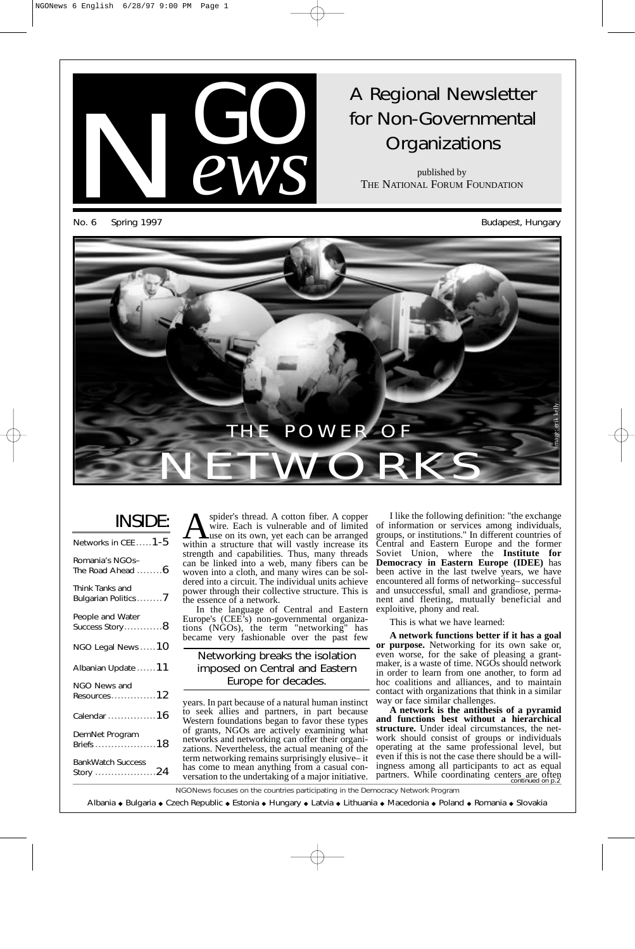

# A Regional Newsletter for Non-Governmental **Organizations**

published by THE NATIONAL FORUM FOUNDATION

No. 6 Spring 1997 Sudapest, Hungary



## INSIDE:

| Networks in CEE $1-5$                  |
|----------------------------------------|
| Romania's NGOs-<br>The Road Ahead $6$  |
| Think Tanks and<br>Bulgarian Politics7 |
| People and Water<br>Success Story8     |
| NGO Legal News $\ldots \ldots 10$      |
| Albanian Update  11                    |
| NGO News and<br>$Resources$ 12         |
| Calendar $16$                          |
| DemNet Program                         |
| <b>BankWatch Success</b><br>Story 24   |
|                                        |

Spider's thread.<br>Wire. Each is v<br>use on its own. spider's thread. A cotton fiber. A copper wire. Each is vulnerable and of limited use on its own, yet each can be arranged within a structure that will vastly increase its strength and capabilities. Thus, many threads can be linked into a web, many fibers can be woven into a cloth, and many wires can be soldered into a circuit. The individual units achieve power through their collective structure. This is the essence of a network.

In the language of Central and Eastern Europe's (CEE's) non-governmental organizations (NGOs), the term "networking" has became very fashionable over the past few

### Networking breaks the isolation imposed on Central and Eastern Europe for decades.

years. In part because of a natural human instinct to seek allies and partners, in part because Western foundations began to favor these types of grants, NGOs are actively examining what networks and networking can offer their organizations. Nevertheless, the actual meaning of the term networking remains surprisingly elusive– it has come to mean anything from a casual conversation to the undertaking of a major initiative.

I like the following definition: "the exchange of information or services among individuals, groups, or institutions." In different countries of Central and Eastern Europe and the former Soviet Union, where the **Institute for Democracy in Eastern Europe (IDEE)** has been active in the last twelve years, we have encountered all forms of networking– successful and unsuccessful, small and grandiose, permanent and fleeting, mutually beneficial and exploitive, phony and real.

This is what we have learned:

**A network functions better if it has a goal or purpose.** Networking for its own sake or, even worse, for the sake of pleasing a grantmaker, is a waste of time. NGOs should network in order to learn from one another, to form ad hoc coalitions and alliances, and to maintain contact with organizations that think in a similar way or face similar challenges.

**A network is the antithesis of a pyramid and functions best without a hierarchical structure.** Under ideal circumstances, the network should consist of groups or individuals operating at the same professional level, but even if this is not the case there should be a willingness among all participants to act as equal partners. While coordinating centers are often continued on p.2

NGONews focuses on the countries participating in the Democracy Network Program

Albania ◆ Bulgaria ◆ Czech Republic ◆ Estonia ◆ Hungary ◆ Latvia ◆ Lithuania ◆ Macedonia ◆ Poland ◆ Romania ◆ Slovakia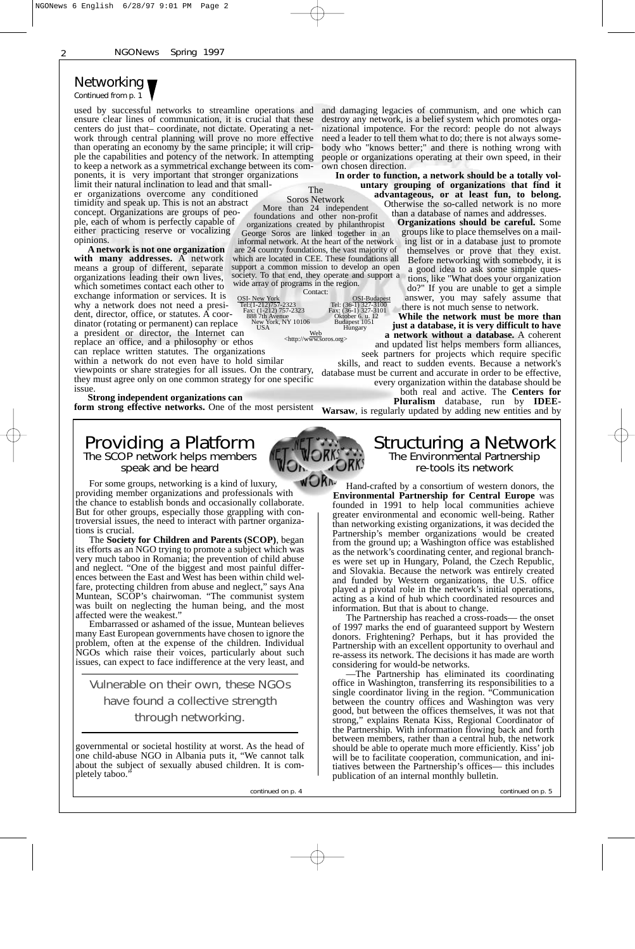### Networking Continued from p.  $1$

used by successful networks to streamline operations and ensure clear lines of communication, it is crucial that these centers do just that– coordinate, not dictate. Operating a network through central planning will prove no more effective than operating an economy by the same principle; it will cripple the capabilities and potency of the network. In attempting to keep a network as a symmetrical exchange between its components, it is very important that stronger organizations

limit their natural inclination to lead and that smaller organizations overcome any conditioned timidity and speak up. This is not an abstract concept. Organizations are groups of people, each of whom is perfectly capable of either practicing reserve or vocalizing opinions. George Soros are linked together in an informal network. At the heart of the network

**A network is not one organization with many addresses.** A network means a group of different, separate organizations leading their own lives, which sometimes contact each other to exchange information or services. It is why a network does not need a president, director, office, or statutes. A coordinator (rotating or permanent) can replace

a president or director, the Internet can replace an office, and a philosophy or ethos can replace written statutes. The organizations New York, NY 10106 Budapest 1051<br>USA Hungary

within a network do not even have to hold similar viewpoints or share strategies for all issues. On the contrary,

they must agree only on one common strategy for one specific issue

**Strong independent organizations can**

## Providing a Platform<br>The SCOP network helps members speak and be heard

For some groups, networking is a kind of luxury, providing member organizations and professionals with the chance to establish bonds and occasionally collaborate. But for other groups, especially those grappling with controversial issues, the need to interact with partner organizations is crucial.

The **Society for Children and Parents (SCOP)**, began its efforts as an NGO trying to promote a subject which was very much taboo in Romania; the prevention of child abuse and neglect. "One of the biggest and most painful differ-ences between the East and West has been within child welfare, protecting children from abuse and neglect," says Ana Muntean, SCOP's chairwoman. "The communist system was built on neglecting the human being, and the most affected were the weakest."

Embarrassed or ashamed of the issue, Muntean believes many East European governments have chosen to ignore the problem, often at the expense of the children. Individual NGOs which raise their voices, particularly about such issues, can expect to face indifference at the very least, and

Vulnerable on their own, these NGOs have found a collective strength through networking.

governmental or societal hostility at worst. As the head of one child-abuse NGO in Albania puts it, "We cannot talk about the subject of sexually abused children. It is completely taboo.

and damaging legacies of communism, and one which can destroy any network, is a belief system which promotes organizational impotence. For the record: people do not always need a leader to tell them what to do; there is not always somebody who "knows better;" and there is nothing wrong with people or organizations operating at their own speed, in their own chosen direction.

**In order to function, a network should be a totally voluntary grouping of organizations that find it advantageous, or at least fun, to belong.** Otherwise the so-called network is no more More than 24 independent

than a database of names and addresses. **Organizations should be careful.** Some groups like to place themselves on a mailing list or in a database just to promote themselves or prove that they exist. Before networking with somebody, it is a good idea to ask some simple questions, like "What does your organization do?" If you are unable to get a simple answer, you may safely assume that there is not much sense to network.

**While the network must be more than just a database, it is very difficult to have** OSI- New York<br>
Tel: (1-212)757-2323 Tel: (36-1) 327-3100<br>
Fax: (1-212) 757-2323 Fax: (36-1) 327-3101<br>
888 7th Avenue Oktober 6. u. 12  $\text{Cell}: (36-1)$  327-3100<br>Fax:  $(36-1)$  327-3100<br>Fax:  $(36-1)$  327-3101<br>Oktober 6, u. 12<br>Budapest 1051<br>Hungary

**a network without a database.** A coherent and updated list helps members form alliances, seek partners for projects which require specific

skills, and react to sudden events. Because a network's database must be current and accurate in order to be effective, every organization within the database should be

> both real and active. The **Centers for Pluralism** database, run by **IDEE-**

**form strong effective networks.** One of the most persistent **Warsaw**, is regularly updated by adding new entities and by

## Structuring a Network<br>The Environmental Partnership re-tools its network

Hand-crafted by a consortium of western donors, the **Environmental Partnership for Central Europe** was founded in 1991 to help local communities achieve greater environmental and economic well-being. Rather than networking existing organizations, it was decided the Partnership's member organizations would be created from the ground up; a Washington office was established as the network's coordinating center, and regional branches were set up in Hungary, Poland, the Czech Republic, and Slovakia. Because the network was entirely created and funded by Western organizations, the U.S. office played a pivotal role in the network's initial operations, acting as a kind of hub which coordinated resources and information. But that is about to change.

The Partnership has reached a cross-roads— the onset of 1997 marks the end of guaranteed support by Western donors. Frightening? Perhaps, but it has provided the Partnership with an excellent opportunity to overhaul and re-assess its network. The decisions it has made are worth considering for would-be networks.

—The Partnership has eliminated its coordinating office in Washington, transferring its responsibilities to a single coordinator living in the region. "Communication between the country offices and Washington was very good, but between the offices themselves, it was not that strong," explains Renata Kiss, Regional Coordinator of the Partnership. With information flowing back and forth between members, rather than a central hub, the network should be able to operate much more efficiently. Kiss' job will be to facilitate cooperation, communication, and initiatives between the Partnership's offices— this includes publication of an internal monthly bulletin.

continued on p. 4 continued on p. 5





The Soros Network

foundations and other non-profit organizations created by philanthropist

are 24 country foundations, the vast majority of which are located in CEE. These foundations all support a common mission to develop an open society. To that end, they operate and support a

Web <http://www.soros.org>

wide array of programs in the region. Contact: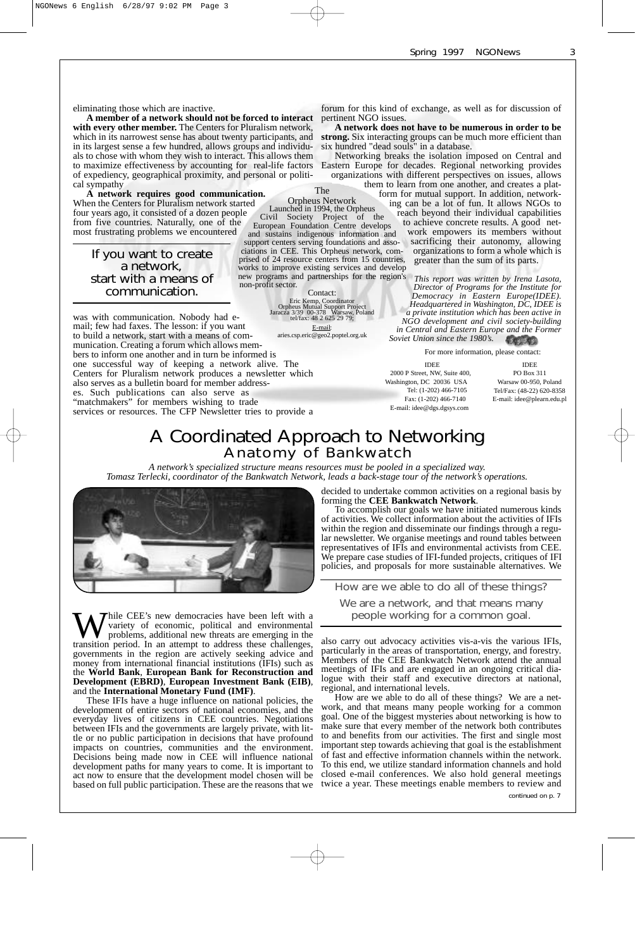eliminating those which are inactive.

**A member of a network should not be forced to interact with every other member.** The Centers for Pluralism network, which in its narrowest sense has about twenty participants, and in its largest sense a few hundred, allows groups and individuals to chose with whom they wish to interact. This allows them to maximize effectiveness by accounting for real-life factors of expediency, geographical proximity, and personal or political sympathy

**A network requires good communication.** When the Centers for Pluralism network started four years ago, it consisted of a dozen people from five countries. Naturally, one of the most frustrating problems we encountered

If you want to create a network, start with a means of communication.

was with communication. Nobody had email; few had faxes. The lesson: if you want to build a network, start with a means of communication. Creating a forum which allows members to inform one another and in turn be informed is one successful way of keeping a network alive. The Centers for Pluralism network produces a newsletter which

also serves as a bulletin board for member addresses. Such publications can also serve as "matchmakers" for members wishing to trade

The Orpheus Network

Launched in 1994, the Orpheus Civil Society Project of the European Foundation Centre develops

and sustains indigenous information and support centers serving foundations and associations in CEE. This Orpheus network, comprised of 24 resource centers from 15 countries, works to improve existing services and develop new programs and partnerships for the region's non-profit sector.

> Contact: Eric Kemp, Coordinator Orpheus Mutual Support Project Jaracza 3/39 00-378 Warsaw, Poland tel/fax: 48 2 625 29 79;

E-mail: aries.csp.eric@geo2.poptel.org.uk

forum for this kind of exchange, as well as for discussion of pertinent NGO issues.

**A network does not have to be numerous in order to be strong.** Six interacting groups can be much more efficient than six hundred "dead souls" in a database.

Networking breaks the isolation imposed on Central and Eastern Europe for decades. Regional networking provides organizations with different perspectives on issues, allows

them to learn from one another, and creates a platform for mutual support. In addition, networking can be a lot of fun. It allows NGOs to reach beyond their individual capabilities to achieve concrete results. A good network empowers its members without sacrificing their autonomy, allowing organizations to form a whole which is greater than the sum of its parts.

> *This report was written by Irena Lasota, Director of Programs for the Institute for Democracy in Eastern Europe(IDEE). Headquartered in Washington, DC, IDEE is a private institution which has been active in NGO development and civil society-building in Central and Eastern Europe and the Former Soviet Union since the 1980's.*

For more information, please contact: IDEE 2000 P Street, NW, Suite 400, Washington, DC 20036 USA Tel: (1-202) 466-7105 Fax: (1-202) 466-7140 E-mail: idee@dgs.dgsys.com

IDEE PO Box 311 Warsaw 00-950, Poland Tel/Fax: (48-22) 620-8358 E-mail: idee@plearn.edu.pl

# A Coordinated Approach to Networking Anatomy of Bankwatch

*A network's specialized structure means resources must be pooled in a specialized way. Tomasz Terlecki, coordinator of the Bankwatch Network, leads a back-stage tour of the network's operations.* 



services or resources. The CFP Newsletter tries to provide a

decided to undertake common activities on a regional basis by forming the **CEE Bankwatch Network**. To accomplish our goals we have initiated numerous kinds

of activities. We collect information about the activities of IFIs within the region and disseminate our findings through a regular newsletter. We organise meetings and round tables between representatives of IFIs and environmental activists from CEE. We prepare case studies of IFI-funded projects, critiques of IFI policies, and proposals for more sustainable alternatives. We

How are we able to do all of these things?

We are a network, and that means many people working for a common goal.

also carry out advocacy activities vis-a-vis the various IFIs, particularly in the areas of transportation, energy, and forestry. Members of the CEE Bankwatch Network attend the annual meetings of IFIs and are engaged in an ongoing critical dialogue with their staff and executive directors at national, regional, and international levels.

How are we able to do all of these things? We are a network, and that means many people working for a common goal. One of the biggest mysteries about networking is how to make sure that every member of the network both contributes to and benefits from our activities. The first and single most important step towards achieving that goal is the establishment of fast and effective information channels within the network. To this end, we utilize standard information channels and hold closed e-mail conferences. We also hold general meetings twice a year. These meetings enable members to review and

continued on p. 7

While CEE's new democracies have been left with a variety of economic, political and environmental problems, additional new threats are emerging in the transition period. In an attempt to address these challenges, governments in the region are actively seeking advice and money from international financial institutions (IFIs) such as the **World Bank**, **European Bank for Reconstruction and Development (EBRD)**, **European Investment Bank (EIB)**, and the **International Monetary Fund (IMF)**.

These IFIs have a huge influence on national policies, the development of entire sectors of national economies, and the everyday lives of citizens in CEE countries. Negotiations between IFIs and the governments are largely private, with little or no public participation in decisions that have profound impacts on countries, communities and the environment. Decisions being made now in CEE will influence national development paths for many years to come. It is important to act now to ensure that the development model chosen will be based on full public participation. These are the reasons that we 3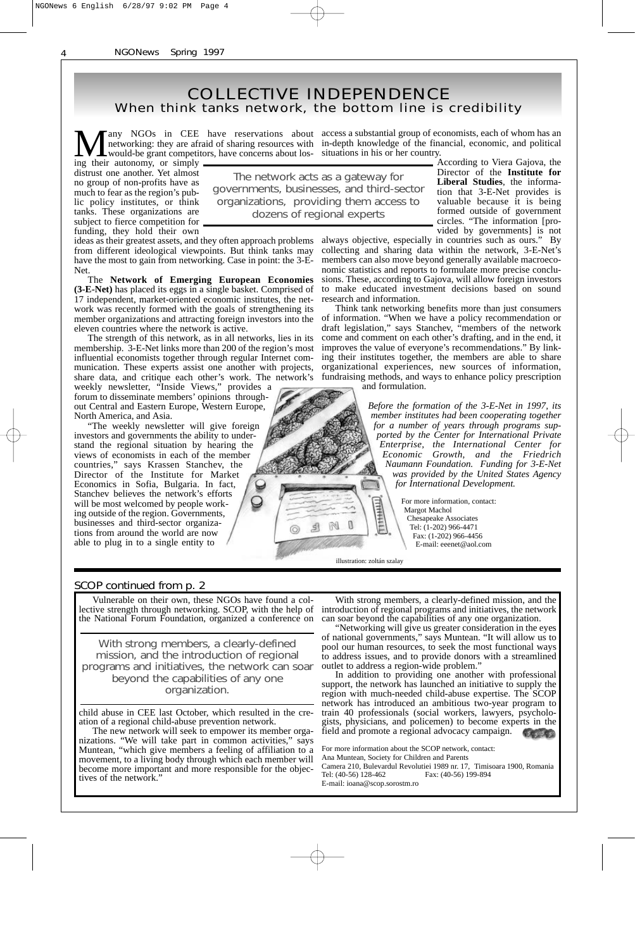### When think tanks network, the bottom line is credibility COLLECTIVE INDEPENDENCE

**Many NGOs in CEE have reservations about networking: they are afraid of sharing resources with would-be grant competitors, have concerns about los**any NGOs in CEE have reservations about access a substantial group of economists, each of whom has an would-be grant competitors, have concerns about los- situations in his or her country.

ing their autonomy, or simply distrust one another. Yet almost no group of non-profits have as much to fear as the region's public policy institutes, or think tanks. These organizations are subject to fierce competition for funding, they hold their own

The network acts as a gateway for governments, businesses, and third-sector organizations, providing them access to

ideas as their greatest assets, and they often approach problems from different ideological viewpoints. But think tanks may have the most to gain from networking. Case in point: the 3-E-Net.

The **Network of Emerging European Economies (3-E-Net)** has placed its eggs in a single basket. Comprised of 17 independent, market-oriented economic institutes, the network was recently formed with the goals of strengthening its member organizations and attracting foreign investors into the eleven countries where the network is active.

The strength of this network, as in all networks, lies in its membership. 3-E-Net links more than 200 of the region's most influential economists together through regular Internet communication. These experts assist one another with projects, share data, and critique each other's work. The network's

weekly newsletter, "Inside Views," provides a forum to disseminate members' opinions throughout Central and Eastern Europe, Western Europe, North America, and Asia.

The weekly newsletter will give foreign investors and governments the ability to understand the regional situation by hearing the views of economists in each of the member countries," says Krassen Stanchev, the Director of the Institute for Market Economics in Sofia, Bulgaria. In fact, Stanchev believes the network's efforts will be most welcomed by people working outside of the region. Governments, businesses and third-sector organizations from around the world are now able to plug in to a single entity to

in-depth knowledge of the financial, economic, and political

dozens of regional experts

According to Viera Gajova, the Director of the **Institute for Liberal Studies**, the information that 3-E-Net provides is valuable because it is being formed outside of government circles. "The information [provided by governments] is not

always objective, especially in countries such as ours." By collecting and sharing data within the network, 3-E-Net's members can also move beyond generally available macroeconomic statistics and reports to formulate more precise conclusions. These, according to Gajova, will allow foreign investors to make educated investment decisions based on sound research and information.

Think tank networking benefits more than just consumers of information. "When we have a policy recommendation or draft legislation," says Stanchev, "members of the network come and comment on each other's drafting, and in the end, it improves the value of everyone's recommendations." By linking their institutes together, the members are able to share organizational experiences, new sources of information, fundraising methods, and ways to enhance policy prescription and formulation.

> *Before the formation of the 3-E-Net in 1997, its member institutes had been cooperating together for a number of years through programs supported by the Center for International Private Enterprise, the International Center for Economic Growth, and the Friedrich Naumann Foundation. Funding for 3-E-Net was provided by the United States Agency for International Development.*

> > For more information, contact: Margot Machol Chesapeake Associates Tel: (1-202) 966-4471 Fax: (1-202) 966-4456 E-mail: eeenet@aol.com

illustration: zoltán szalay

 $\mathbb{R}$ M 围

#### SCOP continued from p. 2

Vulnerable on their own, these NGOs have found a collective strength through networking. SCOP, with the help of the National Forum Foundation, organized a conference on

With strong members, a clearly-defined mission, and the introduction of regional programs and initiatives, the network can soar beyond the capabilities of any one organization.

child abuse in CEE last October, which resulted in the creation of a regional child-abuse prevention network.

The new network will seek to empower its member orga-<br>ations. "We will take part in common activities," says nizations. "We will take part in common activities," says Muntean, "which give members a feeling of affiliation to a movement, to a living body through which each member will become more important and more responsible for the objectives of the network.'

With strong members, a clearly-defined mission, and the introduction of regional programs and initiatives, the network can soar beyond the capabilities of any one organization.

"Networking will give us greater consideration in the eyes of national governments," says Muntean. "It will allow us to pool our human resources, to seek the most functional ways to address issues, and to provide donors with a streamlined outlet to address a region-wide problem.'

In addition to providing one another with professional support, the network has launched an initiative to supply the region with much-needed child-abuse expertise. The SCOP network has introduced an ambitious two-year program to train 40 professionals (social workers, lawyers, psychologists, physicians, and policemen) to become experts in the field and promote a regional advocacy campaign.

For more information about the SCOP network, contact: Ana Muntean, Society for Children and Parents Camera 210, Bulevardul Revolutiei 1989 nr. 17, Timisoara 1900, Romania

Tel: (40-56) 128-462 Fax: (40-56) 199-894 E-mail: ioana@scop.sorostm.ro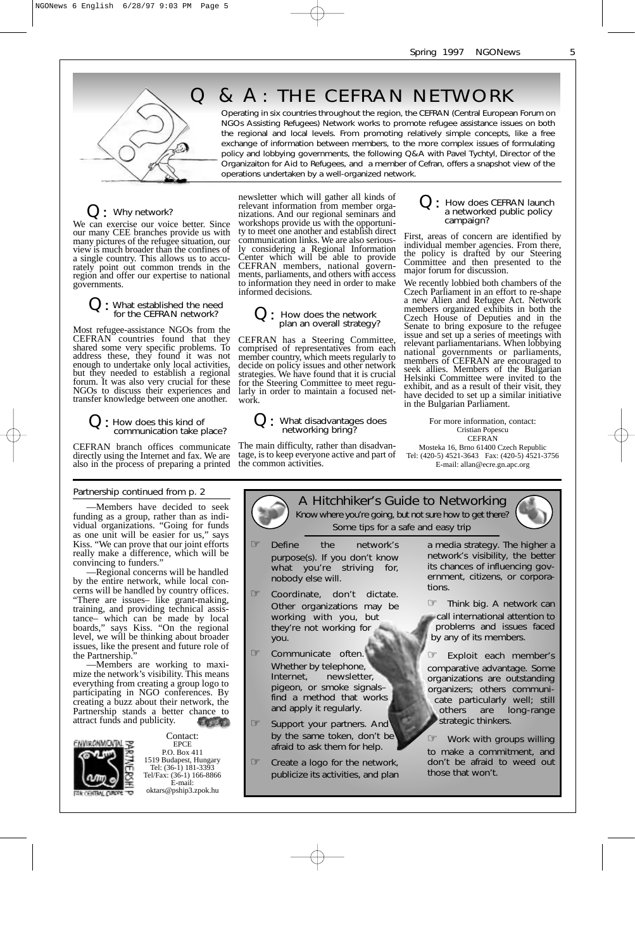

# Q & A : THE CEFRAN NETWORK

Operating in six countries throughout the region, the CEFRAN (Central European Forum on NGOs Assisting Refugees) Network works to promote refugee assistance issues on both the regional and local levels. From promoting relatively simple concepts, like a free exchange of information between members, to the more complex issues of formulating policy and lobbying governments, the following Q&A with Pavel Tychtyl, Director of the Organizaiton for Aid to Refugees, and a member of Cefran, offers a snapshot view of the operations undertaken by a well-organized network.

### Q: Why network?

We can exercise our voice better. Since our many CEE branches provide us with many pictures of the refugee situation, our view is much broader than the confines of a single country. This allows us to accurately point out common trends in the region and offer our expertise to national governments.

## What established the need<br>for the CEFRAN network?

Most refugee-assistance NGOs from the CEFRAN countries found that they shared some very specific problems. To address these, they found it was not enough to undertake only local activities, but they needed to establish a regional forum. It was also very crucial for these NGOs to discuss their experiences and transfer knowledge between one another.

Q: How does this kind of communication take place?

CEFRAN branch offices communicate directly using the Internet and fax. We are also in the process of preparing a printed

#### Partnership continued from p. 2

—Members have decided to seek funding as a group, rather than as individual organizations. "Going for funds as one unit will be easier for us," says Kiss. "We can prove that our joint efforts really make a difference, which will be convincing to funders."

—Regional concerns will be handled by the entire network, while local concerns will be handled by country offices. "There are issues– like grant-making, training, and providing technical assistance– which can be made by local boards," says Kiss. "On the regional level, we will be thinking about broader issues, like the present and future role of the Partnership."

—Members are working to maximize the network's visibility. This means everything from creating a group logo to participating in NGO conferences. By creating a buzz about their network, the Partnership stands a better chance to attract funds and publicity. 1245-458



Contact: EPCE P.O. Box 411 1519 Budapest, Hungary Tel: (36-1) 181-3393 Tel/Fax: (36-1) 166-8866 E-mail: oktars@pship3.zpok.hu

newsletter which will gather all kinds of relevant information from member organizations. And our regional seminars and workshops provide us with the opportunity to meet one another and establish direct communication links. We are also seriously considering a Regional Information Center which will be able to provide CEFRAN members, national governments, parliaments, and others with access to information they need in order to make informed decisions.

# Q: How does the network plan an overall strategy?

CEFRAN has a Steering Committee, comprised of representatives from each member country, which meets regularly to decide on policy issues and other network strategies. We have found that it is crucial for the Steering Committee to meet regularly in order to maintain a focused network.

# Q: What disadvantages does networking bring?

The main difficulty, rather than disadvantage, is to keep everyone active and part of the common activities.

# $\mathcal{Q}:$  How does CEFRAN launch a networked public policy campaign?

First, areas of concern are identified by individual member agencies. From there, the policy is drafted by our Steering Committee and then presented to the major forum for discussion.

We recently lobbied both chambers of the Czech Parliament in an effort to re-shape a new Alien and Refugee Act. Network members organized exhibits in both the Czech House of Deputies and in the Senate to bring exposure to the refugee issue and set up a series of meetings with relevant parliamentarians. When lobbying national governments or parliaments, members of CEFRAN are encouraged to seek allies. Members of the Bulgarian Helsinki Committee were invited to the exhibit, and as a result of their visit, they have decided to set up a similar initiative in the Bulgarian Parliament.

For more information, contact: Cristian Popescu CEFRAN Mosteka 16, Brno 61400 Czech Republic

Tel: (420-5) 4521-3643 Fax: (420-5) 4521-3756 E-mail: allan@ecre.gn.apc.org

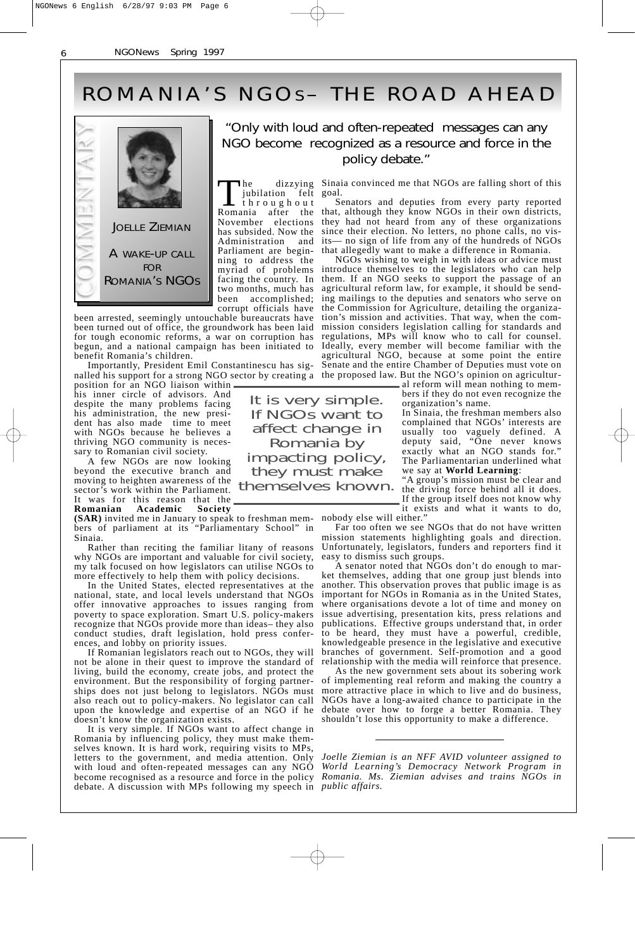# ROMANIA'S NGOs- THE ROAD AHEAD



### "Only with loud and often-repeated messages can any NGO become recognized as a resource and force in the policy debate."

The dizzying<br>jubilation felt<br>throughout Romania after the November elections has subsided. Now the Administration and Parliament are beginning to address the myriad of problems facing the country. In two months, much has been accomplished; corrupt officials have

been arrested, seemingly untouchable bureaucrats have been turned out of office, the groundwork has been laid for tough economic reforms, a war on corruption has begun, and a national campaign has been initiated to benefit Romania's children.

Importantly, President Emil Constantinescu has signalled his support for a strong NGO sector by creating a the proposed law. But the NGO's opinion on agricultur-

position for an NGO liaison within his inner circle of advisors. And despite the many problems facing his administration, the new president has also made time to meet with NGOs because he believes a thriving NGO community is necessary to Romanian civil society.

A few NGOs are now looking beyond the executive branch and moving to heighten awareness of the sector's work within the Parliament. It was for this reason that the **Romanian Academic Society**

**(SAR)** invited me in January to speak to freshman members of parliament at its "Parliamentary School" in Sinaia.

Rather than reciting the familiar litany of reasons why NGOs are important and valuable for civil society, my talk focused on how legislators can utilise NGOs to more effectively to help them with policy decisions.

In the United States, elected representatives at the national, state, and local levels understand that NGOs offer innovative approaches to issues ranging from poverty to space exploration. Smart U.S. policy-makers recognize that NGOs provide more than ideas– they also conduct studies, draft legislation, hold press conferences, and lobby on priority issues.

If Romanian legislators reach out to NGOs, they will not be alone in their quest to improve the standard of living, build the economy, create jobs, and protect the environment. But the responsibility of forging partnerships does not just belong to legislators. NGOs must also reach out to policy-makers. No legislator can call upon the knowledge and expertise of an NGO if he doesn't know the organization exists.

It is very simple. If NGOs want to affect change in Romania by influencing policy, they must make themselves known. It is hard work, requiring visits to MPs, letters to the government, and media attention. Only with loud and often-repeated messages can any NGO become recognised as a resource and force in the policy debate. A discussion with MPs following my speech in *public affairs.* 

It is very simple. If NGOs want to affect change in Romania by impacting policy, they must make

Sinaia convinced me that NGOs are falling short of this goal.

Senators and deputies from every party reported that, although they know NGOs in their own districts, they had not heard from any of these organizations since their election. No letters, no phone calls, no visits— no sign of life from any of the hundreds of NGOs that allegedly want to make a difference in Romania.

NGOs wishing to weigh in with ideas or advice must introduce themselves to the legislators who can help them. If an NGO seeks to support the passage of an agricultural reform law, for example, it should be sending mailings to the deputies and senators who serve on the Commission for Agriculture, detailing the organization's mission and activities. That way, when the commission considers legislation calling for standards and regulations, MPs will know who to call for counsel. Ideally, every member will become familiar with the agricultural NGO, because at some point the entire Senate and the entire Chamber of Deputies must vote on

al reform will mean nothing to members if they do not even recognize the organization's name.

In Sinaia, the freshman members also complained that NGOs' interests are usually too vaguely defined. A deputy said, "One never knows exactly what an NGO stands for." The Parliamentarian underlined what we say at **World Learning**:

"A group's mission must be clear and themselves known. A group's mission must be clear and<br>themselves known. the driving force behind all it does. If the group itself does not know why it exists and what it wants to do,

nobody else will either."

Far too often we see NGOs that do not have written mission statements highlighting goals and direction. Unfortunately, legislators, funders and reporters find it easy to dismiss such groups.

A senator noted that NGOs don't do enough to market themselves, adding that one group just blends into another. This observation proves that public image is as important for NGOs in Romania as in the United States, where organisations devote a lot of time and money on issue advertising, presentation kits, press relations and publications. Effective groups understand that, in order to be heard, they must have a powerful, credible, knowledgeable presence in the legislative and executive branches of government. Self-promotion and a good relationship with the media will reinforce that presence.

As the new government sets about its sobering work of implementing real reform and making the country a more attractive place in which to live and do business, NGOs have a long-awaited chance to participate in the debate over how to forge a better Romania. They shouldn't lose this opportunity to make a difference.

*Joelle Ziemian is an NFF AVID volunteer assigned to World Learning's Democracy Network Program in Romania. Ms. Ziemian advises and trains NGOs in*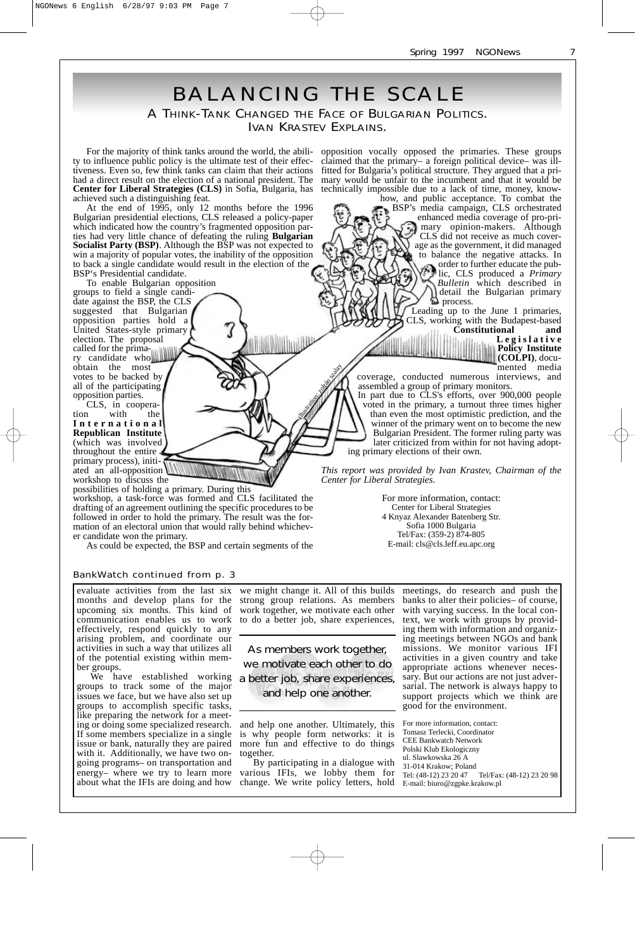

evaluate activities from the last six months and develop plans for the upcoming six months. This kind of communication enables us to work effectively, respond quickly to any arising problem, and coordinate our activities in such a way that utilizes all of the potential existing within member groups.

We have established working groups to track some of the major issues we face, but we have also set up groups to accomplish specific tasks, like preparing the network for a meeting or doing some specialized research. If some members specialize in a single issue or bank, naturally they are paired with it. Additionally, we have two ongoing programs– on transportation and energy– where we try to learn more about what the IFIs are doing and how

we might change it. All of this builds strong group relations. As members work together, we motivate each other to do a better job, share experiences,

As members work together, we motivate each other to do a better job, share experiences, and help one another.

and help one another. Ultimately, this is why people form networks: it is more fun and effective to do things together.

By participating in a dialogue with various IFIs, we lobby them for change. We write policy letters, hold

meetings, do research and push the banks to alter their policies– of course, with varying success. In the local context, we work with groups by providing them with information and organizing meetings between NGOs and bank missions. We monitor various IFI activities in a given country and take appropriate actions whenever necessary. But our actions are not just adversarial. The network is always happy to support projects which we think are good for the environment.

For more information, contact: Tomasz Terlecki, Coordinator CEE Bankwatch Network Polski Klub Ekologiczny ul. Slawkowska 26 A 31-014 Krakow; Poland Tel/Fax: (48-12) 23 20 98 E-mail: biuro@zgpke.krakow.pl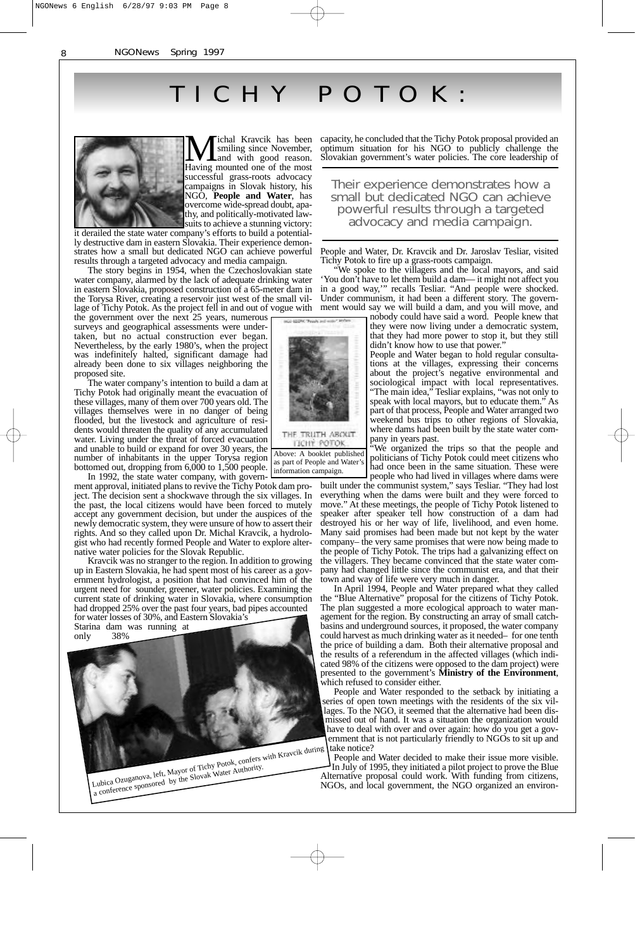# TICHY POTOK:



Fichal Kravcik has been<br>smiling since November,<br>and with good reason. Having mounted one of the most successful grass-roots advocacy campaigns in Slovak history, his NGO, **People and Water**, has overcome wide-spread doubt, apathy, and politically-motivated lawsuits to achieve a stunning victory:

it derailed the state water company's efforts to build a potentially destructive dam in eastern Slovakia. Their experience demonstrates how a small but dedicated NGO can achieve powerful results through a targeted advocacy and media campaign.

The story begins in 1954, when the Czechoslovakian state water company, alarmed by the lack of adequate drinking water in eastern Slovakia, proposed construction of a 65-meter dam in the Torysa River, creating a reservoir just west of the small village of Tichy Potok. As the project fell in and out of vogue with

the government over the next 25 years, numerous surveys and geographical assessments were undertaken, but no actual construction ever began. Nevertheless, by the early 1980's, when the project was indefinitely halted, significant damage had already been done to six villages neighboring the proposed site.

The water company's intention to build a dam at Tichy Potok had originally meant the evacuation of these villages, many of them over 700 years old. The villages themselves were in no danger of being flooded, but the livestock and agriculture of residents would threaten the quality of any accumulated water. Living under the threat of forced evacuation and unable to build or expand for over 30 years, the number of inhabitants in the upper Torysa region bottomed out, dropping from 6,000 to 1,500 people. information campaign.

In 1992, the state water company, with government approval, initiated plans to revive the Tichy Potok dam project. The decision sent a shockwave through the six villages. In the past, the local citizens would have been forced to mutely accept any government decision, but under the auspices of the newly democratic system, they were unsure of how to assert their rights. And so they called upon Dr. Michal Kravcik, a hydrologist who had recently formed People and Water to explore alternative water policies for the Slovak Republic.

Kravcik was no stranger to the region. In addition to growing up in Eastern Slovakia, he had spent most of his career as a government hydrologist, a position that had convinced him of the urgent need for sounder, greener, water policies. Examining the current state of drinking water in Slovakia, where consumption had dropped 25% over the past four years, bad pipes accounted

for water losses of 30%, and Eastern Slovakia's Starina dam was running at only



Lubica Ozuganova, left, Mayor of Tichy Foto-Authority.<br>Lubica Ozuganova, left, Mayor of Tichy Water Authority.

capacity, he concluded that the Tichy Potok proposal provided an optimum situation for his NGO to publicly challenge the Slovakian government's water policies. The core leadership of

Their experience demonstrates how a small but dedicated NGO can achieve powerful results through a targeted advocacy and media campaign.

People and Water, Dr. Kravcik and Dr. Jaroslav Tesliar, visited Tichy Potok to fire up a grass-roots campaign.

"We spoke to the villagers and the local mayors, and said 'You don't have to let them build a dam— it might not affect you in a good way,'" recalls Tesliar. "And people were shocked. Under communism, it had been a different story. The government would say we will build a dam, and you will move, and

nobody could have said a word. People knew that they were now living under a democratic system, that they had more power to stop it, but they still didn't know how to use that power.

People and Water began to hold regular consultations at the villages, expressing their concerns about the project's negative environmental and sociological impact with local representatives. "The main idea," Tesliar explains, "was not only to speak with local mayors, but to educate them." As part of that process, People and Water arranged two weekend bus trips to other regions of Slovakia, where dams had been built by the state water company in years past.

"We organized the trips so that the people and politicians of Tichy Potok could meet citizens who had once been in the same situation. These were people who had lived in villages where dams were

built under the communist system," says Tesliar. "They had lost everything when the dams were built and they were forced to move." At these meetings, the people of Tichy Potok listened to speaker after speaker tell how construction of a dam had destroyed his or her way of life, livelihood, and even home. Many said promises had been made but not kept by the water company– the very same promises that were now being made to the people of Tichy Potok. The trips had a galvanizing effect on the villagers. They became convinced that the state water company had changed little since the communist era, and that their town and way of life were very much in danger.

In April 1994, People and Water prepared what they called the "Blue Alternative" proposal for the citizens of Tichy Potok. The plan suggested a more ecological approach to water management for the region. By constructing an array of small catchbasins and underground sources, it proposed, the water company could harvest as much drinking water as it needed– for one tenth the price of building a dam. Both their alternative proposal and the results of a referendum in the affected villages (which indicated 98% of the citizens were opposed to the dam project) were presented to the government's **Ministry of the Environment**, which refused to consider either.

People and Water responded to the setback by initiating a series of open town meetings with the residents of the six villages. To the NGO, it seemed that the alternative had been dismissed out of hand. It was a situation the organization would have to deal with over and over again: how do you get a government that is not particularly friendly to NGOs to sit up and take notice?

People and Water decided to make their issue more visible. In July of 1995, they initiated a pilot project to prove the Blue Alternative proposal could work. With funding from citizens, NGOs, and local government, the NGO organized an environ-



Above: A booklet published as part of People and Water's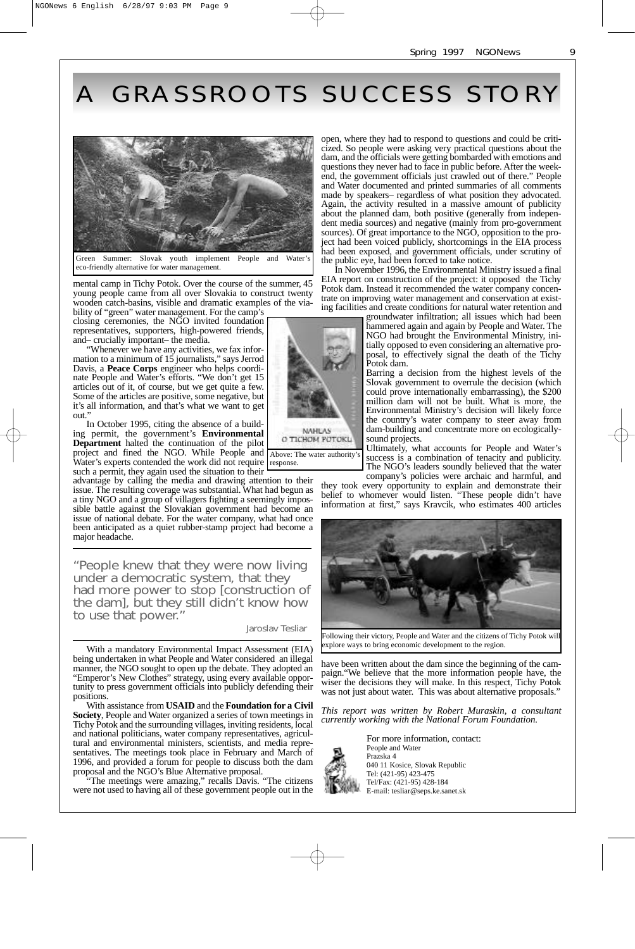# A GRASSROOTS SUCCESS STOR Y



Summer: Slovak youth implement People Water eco-friendly alternative for water management.

mental camp in Tichy Potok. Over the course of the summer, 45 young people came from all over Slovakia to construct twenty wooden catch-basins, visible and dramatic examples of the viability of "green" water management. For the camp's

closing ceremonies, the NGO invited foundation representatives, supporters, high-powered friends, and– crucially important– the media.

"Whenever we have any activities, we fax information to a minimum of 15 journalists," says Jerrod Davis, a **Peace Corps** engineer who helps coordinate People and Water's efforts. "We don't get 15 articles out of it, of course, but we get quite a few. Some of the articles are positive, some negative, but it's all information, and that's what we want to get out.

In October 1995, citing the absence of a building permit, the government's **Environmental Department** halted the continuation of the pilot project and fined the NGO. While People and Water's experts contended the work did not require such a permit, they again used the situation to their

advantage by calling the media and drawing attention to their issue. The resulting coverage was substantial. What had begun as a tiny NGO and a group of villagers fighting a seemingly impossible battle against the Slovakian government had become an issue of national debate. For the water company, what had once been anticipated as a quiet rubber-stamp project had become a major headache.

"People knew that they were now living under a democratic system, that they had more power to stop [construction of the dam], but they still didn't know how to use that power."

#### Jaroslav Tesliar

response.

With a mandatory Environmental Impact Assessment (EIA) being undertaken in what People and Water considered an illegal manner, the NGO sought to open up the debate. They adopted an "Emperor's New Clothes" strategy, using every available opportunity to press government officials into publicly defending their positions.

With assistance from **USAID** and the **Foundation for a Civil Society**, People and Water organized a series of town meetings in Tichy Potok and the surrounding villages, inviting residents, local and national politicians, water company representatives, agricultural and environmental ministers, scientists, and media representatives. The meetings took place in February and March of 1996, and provided a forum for people to discuss both the dam proposal and the NGO's Blue Alternative proposal.

"The meetings were amazing," recalls Davis. "The citizens were not used to having all of these government people out in the

open, where they had to respond to questions and could be criticized. So people were asking very practical questions about the dam, and the officials were getting bombarded with emotions and questions they never had to face in public before. After the weekend, the government officials just crawled out of there." People and Water documented and printed summaries of all comments made by speakers– regardless of what position they advocated. Again, the activity resulted in a massive amount of publicity about the planned dam, both positive (generally from independent media sources) and negative (mainly from pro-government sources). Of great importance to the NGO, opposition to the project had been voiced publicly, shortcomings in the EIA process had been exposed, and government officials, under scrutiny of the public eye, had been forced to take notice.

In November 1996, the Environmental Ministry issued a final EIA report on construction of the project: it opposed the Tichy Potok dam. Instead it recommended the water company concentrate on improving water management and conservation at existing facilities and create conditions for natural water retention and

groundwater infiltration; all issues which had been hammered again and again by People and Water. The NGO had brought the Environmental Ministry, initially opposed to even considering an alternative proposal, to effectively signal the death of the Tichy Potok dam.

Barring a decision from the highest levels of the Slovak government to overrule the decision (which could prove internationally embarrassing), the \$200 million dam will not be built. What is more, the Environmental Ministry's decision will likely force the country's water company to steer away from dam-building and concentrate more on ecologicallysound projects.

Ultimately, what accounts for People and Water's success is a combination of tenacity and publicity. The NGO's leaders soundly believed that the water

company's policies were archaic and harmful, and they took every opportunity to explain and demonstrate their belief to whomever would listen. "These people didn't have information at first," says Kravcik, who estimates 400 articles



explore ways to bring economic development to the region.

have been written about the dam since the beginning of the campaign."We believe that the more information people have, the wiser the decisions they will make. In this respect, Tichy Potok was not just about water. This was about alternative proposals."

*This report was written by Robert Muraskin, a consultant currently working with the National Forum Foundation.*



For more information, contact: People and Water Prazska 4 040 11 Kosice, Slovak Republic Tel: (421-95) 423-475 Tel/Fax: (421-95) 428-184 E-mail: tesliar@seps.ke.sanet.sk

9

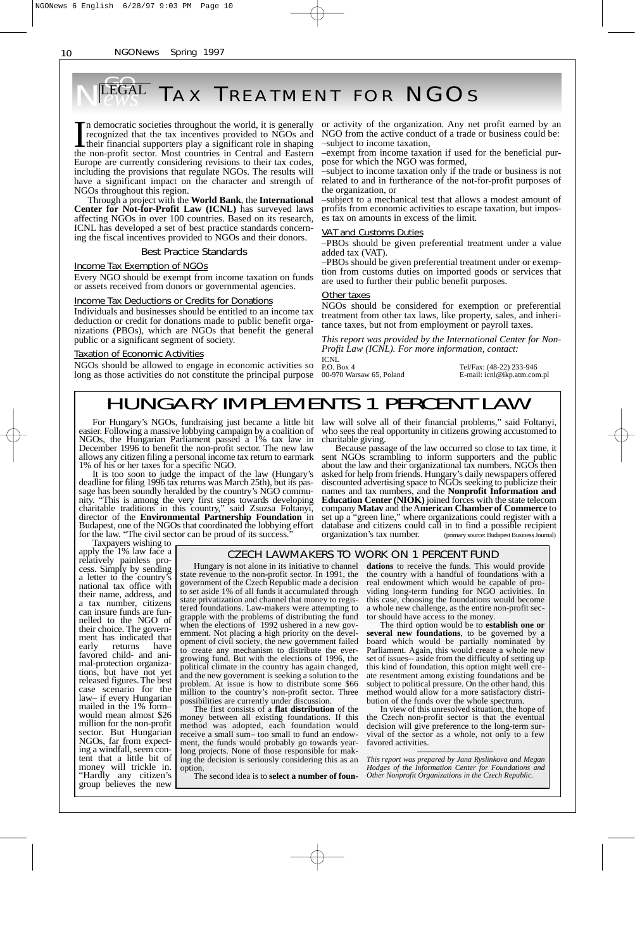### **EGAL TAX TREATMENT FOR NGOS** NEGAL

In democratic societies throughout the world, it is generally recognized that the tax incentives provided to NGOs and their financial supporters play a significant role in shaping the non-profit sector. Most countries in Central and Eastern Europe are currently considering revisions to their tax codes, including the provisions that regulate NGOs. The results will have a significant impact on the character and strength of NGOs throughout this region.

Through a project with the **World Bank**, the **International Center for Not-for-Profit Law (ICNL)** has surveyed laws affecting NGOs in over 100 countries. Based on its research, ICNL has developed a set of best practice standards concerning the fiscal incentives provided to NGOs and their donors.

#### Best Practice Standards

Income Tax Exemption of NGOs

Every NGO should be exempt from income taxation on funds or assets received from donors or governmental agencies.

#### Income Tax Deductions or Credits for Donations

Individuals and businesses should be entitled to an income tax deduction or credit for donations made to public benefit organizations (PBOs), which are NGOs that benefit the general public or a significant segment of society.

#### Taxation of Economic Activities

NGOs should be allowed to engage in economic activities so long as those activities do not constitute the principal purpose

or activity of the organization. Any net profit earned by an NGO from the active conduct of a trade or business could be: –subject to income taxation,

–exempt from income taxation if used for the beneficial purpose for which the NGO was formed,

–subject to income taxation only if the trade or business is not related to and in furtherance of the not-for-profit purposes of the organization, or

–subject to a mechanical test that allows a modest amount of profits from economic activities to escape taxation, but imposes tax on amounts in excess of the limit.

#### VAT and Customs Duties

–PBOs should be given preferential treatment under a value added tax (VAT). –PBOs should be given preferential treatment under or exemp-

tion from customs duties on imported goods or services that are used to further their public benefit purposes.

#### **Other taxes**

NGOs should be considered for exemption or preferential treatment from other tax laws, like property, sales, and inheritance taxes, but not from employment or payroll taxes.

*This report was provided by the International Center for Non-Profit Law (ICNL). For more information, contact:*

ICNL<br>P.O. Box 4

P.O. Box 4 Tel/Fax: (48-22) 233-946<br>00-970 Warsaw 65, Poland E-mail: icnl@ikp.atm.con E-mail: icnl@ikp.atm.com.pl

## HUNGARY IMPLEMENTS 1 PERCENT LAW

For Hungary's NGOs, fundraising just became a little bit easier. Following a massive lobbying campaign by a coalition of NGOs, the Hungarian Parliament passed a 1% tax law in December 1996 to benefit the non-profit sector. The new law allows any citizen filing a personal income tax return to earmark 1% of his or her taxes for a specific NGO.

It is too soon to judge the impact of the law (Hungary's deadline for filing 1996 tax returns was March 25th), but its passage has been soundly heralded by the country's NGO community. "This is among the very first steps towards developing charitable traditions in this country," said Zsuzsa Foltanyi, director of the **Environmental Partnership Foundation** in Budapest, one of the NGOs that coordinated the lobbying effort for the law. "The civil sector can be proud of its success."

law will solve all of their financial problems," said Foltanyi, who sees the real opportunity in citizens growing accustomed to charitable giving.

Because passage of the law occurred so close to tax time, it sent NGOs scrambling to inform supporters and the public about the law and their organizational tax numbers. NGOs then asked for help from friends. Hungary's daily newspapers offered discounted advertising space to NGOs seeking to publicize their names and tax numbers, and the **Nonprofit Information and Education Center (NIOK)** joined forces with the state telecom company **Matav** and the A**merican Chamber of Commerce** to set up a "green line," where organizations could register with a database and citizens could call in to find a possible recipient organization's tax number. (primary source: Budapest Business Journal)

Taxpayers wishing to apply the 1% law face a relatively painless process. Simply by sending a letter to the country's national tax office with their name, address, and a tax number, citizens can insure funds are funnelled to the NGO of their choice. The government has indicated that early returns have favored child- and animal-protection organizations, but have not yet released figures. The best case scenario for the law– if every Hungarian mailed in the 1% form– would mean almost \$26 million for the non-profit sector. But Hungarian NGOs, far from expecting a windfall, seem content that a little bit of money will trickle in. "Hardly any citizen's group believes the new

CZECH LAWMAKERS TO WORK ON 1 PERCENT FUND

Hungary is not alone in its initiative to channel state revenue to the non-profit sector. In 1991, the government of the Czech Republic made a decision to set aside 1% of all funds it accumulated through state privatization and channel that money to registered foundations. Law-makers were attempting to grapple with the problems of distributing the fund when the elections of 1992 ushered in a new government. Not placing a high priority on the development of civil society, the new government failed to create any mechanism to distribute the evergrowing fund. But with the elections of 1996, the political climate in the country has again changed, and the new government is seeking a solution to the problem. At issue is how to distribute some \$66 million to the country's non-profit sector. Three

possibilities are currently under discussion. The first consists of a **flat distribution** of the money between all existing foundations. If this method was adopted, each foundation would receive a small sum– too small to fund an endowment, the funds would probably go towards yearlong projects. None of those responsible for making the decision is seriously considering this as an option.

The second idea is to **select a number of foun-**

**dations** to receive the funds. This would provide the country with a handful of foundations with a real endowment which would be capable of pro viding long-term funding for NGO activities. In this case, choosing the foundations would become a whole new challenge, as the entire non-profit sec tor should have access to the money.

The third option would be to **establish one or several new foundations**, to be governed by a board which would be partially nominated by Parliament. Again, this would create a whole new set of issues-- aside from the difficulty of setting up this kind of foundation, this option might well cre ate resentment among existing foundations and be subject to political pressure. On the other hand, this method would allow for a more satisfactory distri bution of the funds over the whole spectrum.

In view of this unresolved situation, the hope of the Czech non-profit sector is that the eventual decision will give preference to the long-term sur vival of the sector as a whole, not only to a few favored activities.

*This report was prepared by Jana Ryslinkova and Megan Hodges of the Information Center for Foundations and Other Nonprofit Organizations in the Czech Republic.*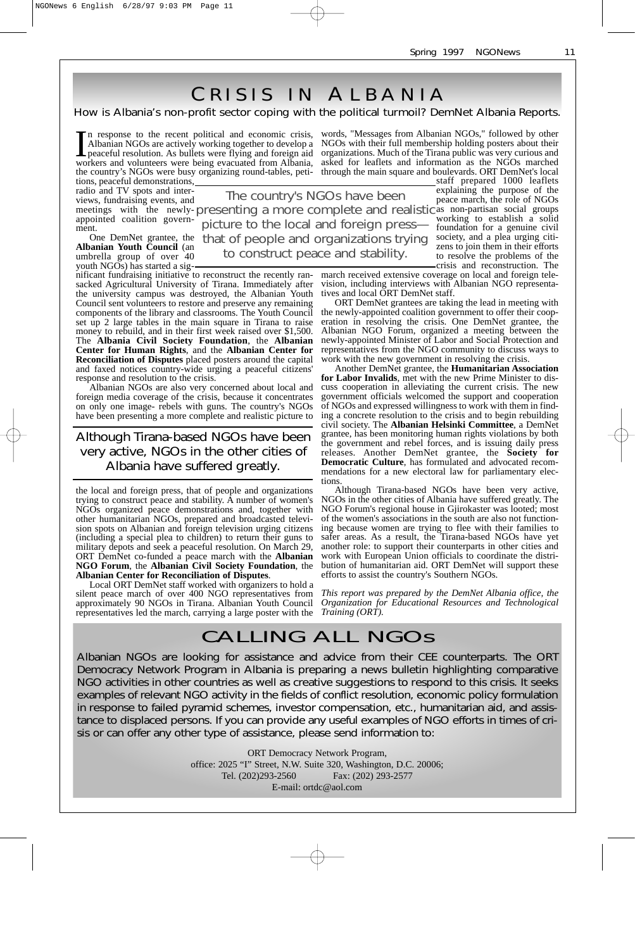as non-partisan social groups

foundation for a genuine civil

zens to join them in their efforts to resolve the problems of the

C RISIS IN A LBANIA

### How is Albania's non-profit sector coping with the political turmoil? DemNet Albania Reports.

In response to the recent political and economic crisis, Albanian NGOs are actively working together to develop a peaceful resolution. As bullets were flying and foreign aid workers and volunteers were being evacuated from Albania, the country's NGOs were busy organizing round-tables, peti-through the main square and boulevards. ORT DemNet's local

words, "Messages from Albanian NGOs," followed by other NGOs with their full membership holding posters about their organizations. Much of the Tirana public was very curious and asked for leaflets and information as the NGOs marched

tions, peaceful demonstrations, radio and TV spots and interviews, fundraising events, and meetings with the newlyappointed coalition government.

One DemNet grantee, the **Albanian Youth Council** (an umbrella group of over 40 youth NGOs) has started a sig-

nificant fundraising initiative to reconstruct the recently ransacked Agricultural University of Tirana. Immediately after the university campus was destroyed, the Albanian Youth Council sent volunteers to restore and preserve any remaining components of the library and classrooms. The Youth Council set up 2 large tables in the main square in Tirana to raise money to rebuild, and in their first week raised over \$1,500. The **Albania Civil Society Foundation**, the **Albanian Center for Human Rights**, and the **Albanian Center for Reconciliation of Disputes** placed posters around the capital and faxed notices country-wide urging a peaceful citizens' response and resolution to the crisis.

Albanian NGOs are also very concerned about local and foreign media coverage of the crisis, because it concentrates on only one image- rebels with guns. The country's NGOs have been presenting a more complete and realistic picture to

### Although Tirana-based NGOs have been very active, NGOs in the other cities of Albania have suffered greatly.

the local and foreign press, that of people and organizations trying to construct peace and stability. A number of women's NGOs organized peace demonstrations and, together with other humanitarian NGOs, prepared and broadcasted television spots on Albanian and foreign television urging citizens (including a special plea to children) to return their guns to military depots and seek a peaceful resolution. On March 29, ORT DemNet co-funded a peace march with the **Albanian NGO Forum**, the **Albanian Civil Society Foundation**, the **Albanian Center for Reconciliation of Disputes**.

Local ORT DemNet staff worked with organizers to hold a silent peace march of over 400 NGO representatives from approximately 90 NGOs in Tirana. Albanian Youth Council representatives led the march, carrying a large poster with the

staff prepared 1000 leaflets explaining the purpose of the peace march, the role of NGOs

presenting a more complete and realistic as non-partisan social groups<br>misture to the local and foreign presention working to establish a solid that of people and organizations trying society, and a plea urging citi-The country's NGOs have been picture to the local and foreign press to construct peace and stability.

> crisis and reconstruction. The march received extensive coverage on local and foreign television, including interviews with Albanian NGO representatives and local ORT DemNet staff.

> ORT DemNet grantees are taking the lead in meeting with the newly-appointed coalition government to offer their cooperation in resolving the crisis. One DemNet grantee, the Albanian NGO Forum, organized a meeting between the newly-appointed Minister of Labor and Social Protection and representatives from the NGO community to discuss ways to work with the new government in resolving the crisis.

> Another DemNet grantee, the **Humanitarian Association for Labor Invalids**, met with the new Prime Minister to discuss cooperation in alleviating the current crisis. The new government officials welcomed the support and cooperation of NGOs and expressed willingness to work with them in finding a concrete resolution to the crisis and to begin rebuilding civil society. The **Albanian Helsinki Committee**, a DemNet grantee, has been monitoring human rights violations by both the government and rebel forces, and is issuing daily press releases. Another DemNet grantee, the **Society for Democratic Culture**, has formulated and advocated recommendations for a new electoral law for parliamentary elections.

> Although Tirana-based NGOs have been very active, NGOs in the other cities of Albania have suffered greatly. The NGO Forum's regional house in Gjirokaster was looted; most of the women's associations in the south are also not functioning because women are trying to flee with their families to safer areas. As a result, the Tirana-based NGOs have yet another role: to support their counterparts in other cities and work with European Union officials to coordinate the distribution of humanitarian aid. ORT DemNet will support these efforts to assist the country's Southern NGOs.

> *This report was prepared by the DemNet Albania office, the Organization for Educational Resources and Technological Training (ORT).*

## CALLING ALL NGOs

Albanian NGOs are looking for assistance and advice from their CEE counterparts. The ORT Democracy Network Program in Albania is preparing a news bulletin highlighting comparative NGO activities in other countries as well as creative suggestions to respond to this crisis. It seeks examples of relevant NGO activity in the fields of conflict resolution, economic policy formulation in response to failed pyramid schemes, investor compensation, etc., humanitarian aid, and assistance to displaced persons. If you can provide any useful examples of NGO efforts in times of crisis or can offer any other type of assistance, please send information to:

> ORT Democracy Network Program, office: 2025 "I" Street, N.W. Suite 320, Washington, D.C. 20006; Tel. (202)293-2560 Fax: (202) 293-2577 E-mail: ortdc@aol.com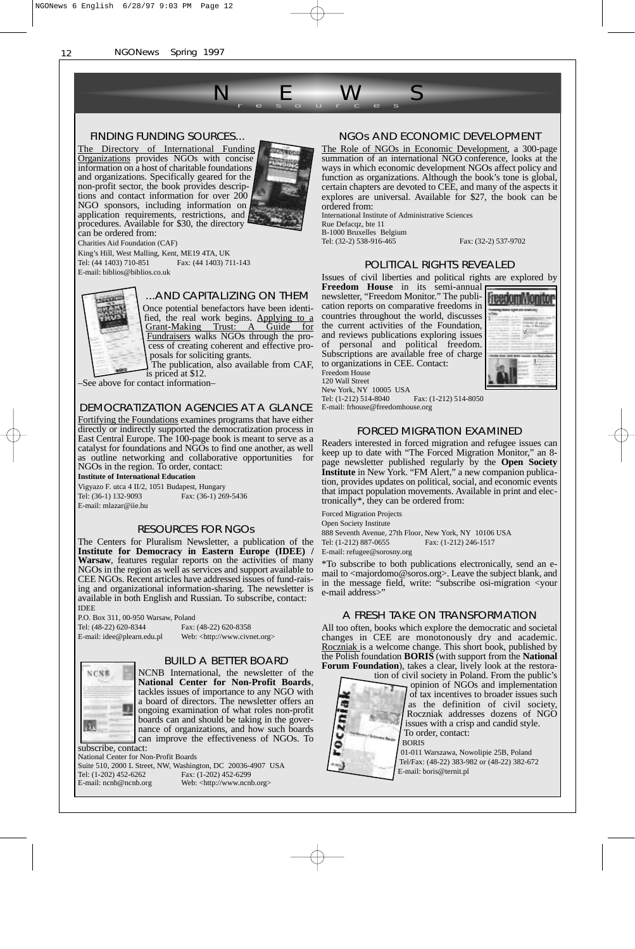#### FINDING FUNDING SOURCES...

The Directory of International Funding Organizations provides NGOs with concise information on a host of charitable foundations and organizations. Specifically geared for the non-profit sector, the book provides descriptions and contact information for over 200 NGO sponsors, including information on application requirements, restrictions, and procedures. Available for \$30, the directory



NEWS r esour ces

can be ordered from: Charities Aid Foundation (CAF)

King's Hill, West Malling, Kent, ME19 4TA, UK Tel: (44 1403) 710-851 Fax: (44 1403) 711-143 E-mail: biblios@biblios.co.uk



...AND CAPITALIZING ON THEM

Once potential benefactors have been identified, the real work begins. Applying to a Grant-Making Trust: A Guide for Fundraisers walks NGOs through the process of creating coherent and effective proposals for soliciting grants.

The publication, also available from CAF, is priced at \$12.

–See above for contact information–

#### DEMOCRATIZATION AGENCIES AT A GLANCE

Fortifying the Foundations examines programs that have either directly or indirectly supported the democratization process in East Central Europe. The 100-page book is meant to serve as a catalyst for foundations and NGOs to find one another, as well as outline networking and collaborative opportunities for NGOs in the region. To order, contact:

**Institute of International Education**

Vigyazo F. utca 4 II/2, 1051 Budapest, Hungary<br>Tel: (36-1) 132-9093 Fax: (36-1) 26 Fax: (36-1) 269-5436 E-mail: mlazar@iie.hu

#### RESOURCES FOR NGOs

The Centers for Pluralism Newsletter, a publication of the **Institute for Democracy in Eastern Europe (IDEE) / Warsaw**, features regular reports on the activities of many NGOs in the region as well as services and support available to CEE NGOs. Recent articles have addressed issues of fund-raising and organizational information-sharing. The newsletter is available in both English and Russian. To subscribe, contact: IDEE

P.O. Box 311, 00-950 Warsaw, Poland Tel: (48-22) 620-8344 Fax: (48-22) 620-8358

E-mail: idee@plearn.edu.pl Web: <http://www.civnet.org>

# NCNR Щ Ja.

#### BUILD A BETTER BOARD

NCNB International, the newsletter of the **National Center for Non-Profit Boards**, tackles issues of importance to any NGO with a board of directors. The newsletter offers an ongoing examination of what roles non-profit boards can and should be taking in the governance of organizations, and how such boards can improve the effectiveness of NGOs. To subscribe, contact:

National Center for Non-Profit Boards Suite 510, 2000 L Street, NW, Washington, DC 20036-4907 USA<br>Tel: (1-202) 452-6262 Fax: (1-202) 452-6299 Fax: (1-202) 452-6299 E-mail: ncnb@ncnb.org Web: <http://www.ncnb.org>

#### NGOs AND ECONOMIC DEVELOPMENT

The Role of NGOs in Economic Development, a 300-page summation of an international NGO conference, looks at the ways in which economic development NGOs affect policy and function as organizations. Although the book's tone is global, certain chapters are devoted to CEE, and many of the aspects it explores are universal. Available for \$27, the book can be ordered from:

International Institute of Administrative Sciences Rue Defacqz, bte 11 B-1000 Bruxelles Belgium

Tel: (32-2) 538-916-465 Fax: (32-2) 537-9702

#### POLITICAL RIGHTS REVEALED

Issues of civil liberties and political rights are explored by

**Freedom House** in its semi-annual newsletter, "Freedom Monitor." The publication reports on comparative freedoms in countries throughout the world, discusses the current activities of the Foundation, and reviews publications exploring issues of personal and political freedom. Subscriptions are available free of charge to organizations in CEE. Contact: Freedom House 120 Wall Street New York, NY 10005 USA



Tel: (1-212) 514-8040 Fax: (1-212) 514-8050 E-mail: frhouse@freedomhouse.org

#### FORCED MIGRATION EXAMINED

Readers interested in forced migration and refugee issues can keep up to date with "The Forced Migration Monitor," an 8 page newsletter published regularly by the **Open Society Institute** in New York. "FM Alert," a new companion publication, provides updates on political, social, and economic events that impact population movements. Available in print and electronically\*, they can be ordered from:

Forced Migration Projects

Open Society Institute

888 Seventh Avenue, 27th Floor, New York, NY 10106 USA Tel: (1-212) 887-0655 Fax: (1-212) 246-1517

E-mail: refugee@sorosny.org

\*To subscribe to both publications electronically, send an email to <majordomo@soros.org>. Leave the subject blank, and in the message field, write: "subscribe osi-migration <your e-mail address>"

#### A FRESH TAKE ON TRANSFORMATION

All too often, books which explore the democratic and societal changes in CEE are monotonously dry and academic. Roczniak is a welcome change. This short book, published by the Polish foundation **BORIS** (with support from the **National Forum Foundation**), takes a clear, lively look at the restora-



tion of civil society in Poland. From the public's opinion of NGOs and implementation of tax incentives to broader issues such as the definition of civil society, Roczniak addresses dozens of NGO issues with a crisp and candid style. To order, contact: BORIS

> 01-011 Warszawa, Nowolipie 25B, Poland Tel/Fax: (48-22) 383-982 or (48-22) 382-672 E-mail: boris@ternit.pl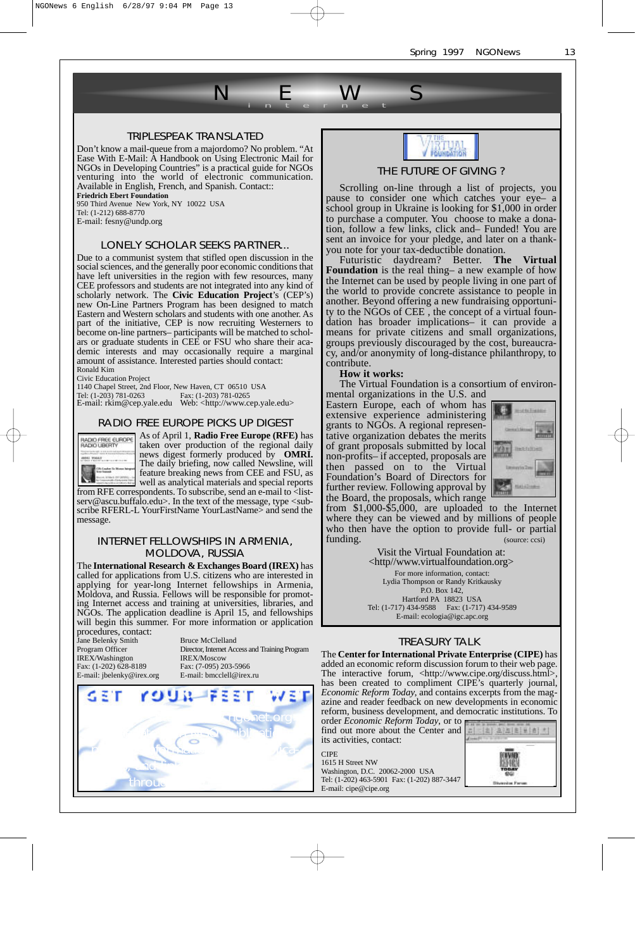

#### TRIPLESPEAK TRANSLATED

Don't know a mail-queue from a majordomo? No problem. "At Ease With E-Mail: A Handbook on Using Electronic Mail for NGOs in Developing Countries" is a practical guide for NGOs venturing into the world of electronic communication. Available in English, French, and Spanish. Contact:: **Friedrich Ebert Foundation**

950 Third Avenue New York, NY 10022 USA

Tel: (1-212) 688-8770 E-mail: fesny@undp.org

#### LONELY SCHOLAR SEEKS PARTNER...

Due to a communist system that stifled open discussion in the social sciences, and the generally poor economic conditions that have left universities in the region with few resources, many CEE professors and students are not integrated into any kind of scholarly network. The **Civic Education Project**'s (CEP's) new On-Line Partners Program has been designed to match Eastern and Western scholars and students with one another. As part of the initiative, CEP is now recruiting Westerners to become on-line partners– participants will be matched to scholars or graduate students in CEE or FSU who share their academic interests and may occasionally require a marginal amount of assistance. Interested parties should contact: Ronald Kim

Civic Education Project

1140 Chapel Street, 2nd Floor, New Haven, CT 06510 USA

Tel: (1-203) 781-0263 Fax: (1-203) 781-0265 E-mail: rkim@cep.yale.edu Web: <http://www.cep.yale.edu >

#### RADIO FREE EUROPE PICKS UP DIGEST



As of April 1, **Radio Free Europe (RFE)** has taken over production of the regional daily news digest formerly produced by **OMRI.** The daily briefing, now called Newsline, will feature breaking news from CEE and FSU, as well as analytical materials and special reports

from RFE correspondents. To subscribe, send an e-mail to <listserv@ascu.buffalo.edu>. In the text of the message, type <subscribe RFERL-L YourFirstName YourLastName> and send the message.

#### INTERNET FELLOWSHIPS IN ARMENIA, MOLDOVA, RUSSIA

The **International Research & Exchanges Board (IREX)** has called for applications from U.S. citizens who are interested in applying for year-long Internet fellowships in Armenia, Moldova, and Russia. Fellows will be responsible for promoting Internet access and training at universities, libraries, and NGOs. The application deadline is April 15, and fellowships will begin this summer. For more information or application procedures, contact:

Jane Belenky Smith Bruce McClelland<br>Program Officer Director. Internet Acc IREX/Washington IREX/Moscow<br>Fax: (1-202) 628-8189 Fax: (7-095) 20

Program Officer Director, Internet Access and Training Program Fax: (7-095) 203-5966 E-mail: jbelenky@irex.org E-mail: bmcclell@irex.ru





#### THE FUTURE OF GIVING ?

Scrolling on-line through a list of projects, you pause to consider one which catches your eye– a school group in Ukraine is looking for \$1,000 in order to purchase a computer. You choose to make a donation, follow a few links, click and– Funded! You are sent an invoice for your pledge, and later on a thankyou note for your tax-deductible donation.

Futuristic daydream? Better. **The Virtual Foundation** is the real thing– a new example of how the Internet can be used by people living in one part of the world to provide concrete assistance to people in another. Beyond offering a new fundraising opportunity to the NGOs of CEE , the concept of a virtual foundation has broader implications– it can provide a means for private citizens and small organizations, groups previously discouraged by the cost, bureaucracy, and/or anonymity of long-distance philanthropy, to contribute.

**How it works:**

The Virtual Foundation is a consortium of environ-

mental organizations in the U.S. and Eastern Europe, each of whom has extensive experience administering grants to NGOs. A regional representative organization debates the merits of grant proposals submitted by local non-profits– if accepted, proposals are then passed on to the Virtual Foundation's Board of Directors for further review. Following approval by the Board, the proposals, which range



from \$1,000-\$5,000, are uploaded to the Internet where they can be viewed and by millions of people who then have the option to provide full- or partial funding. (source: ccsi)

> Visit the Virtual Foundation at: <http//www.virtualfoundation.org> For more information, contact: Lydia Thompson or Randy Kritkausky P.O. Box 142, Hartford PA 18823 USA Tel: (1-717) 434-9588 Fax: (1-717) 434-9589 E-mail: ecologia@igc.apc.org

#### TREASURY TALK

The **Center for International Private Enterprise (CIPE)** has added an economic reform discussion forum to their web page. The interactive forum, <http://www.cipe.org/discuss.html>, has been created to compliment CIPE's quarterly journal, *Economic Reform Today*, and contains excerpts from the magazine and reader feedback on new developments in economic reform, business development, and democratic institutions. To order *Economic Reform Today*, or to

find out more about the Center and its activities, contact:



CIPE 1615 H Street NW Washington, D.C. 20062-2000 USA Tel: (1-202) 463-5901 Fax: (1-202) 887-3447 E-mail: cipe@cipe.org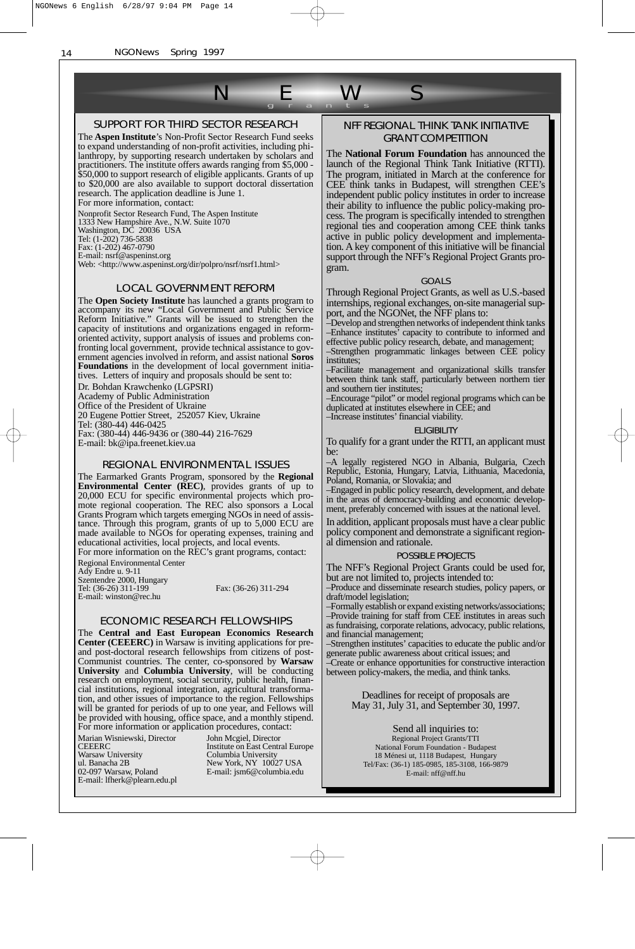

#### SUPPORT FOR THIRD SECTOR RESEARCH

The **Aspen Institute**'s Non-Profit Sector Research Fund seeks to expand understanding of non-profit activities, including philanthropy, by supporting research undertaken by scholars and practitioners. The institute offers awards ranging from \$5,000 - \$50,000 to support research of eligible applicants. Grants of up to \$20,000 are also available to support doctoral dissertation research. The application deadline is June 1.

For more information, contact:

Nonprofit Sector Research Fund, The Aspen Institute

1333 New Hampshire Ave., N.W. Suite 1070

Washington, DC 20036 USA Tel: (1-202) 736-5838

Fax: (1-202) 467-0790

E-mail: nsrf@aspeninst.org

Web: <http://www.aspeninst.org/dir/polpro/nsrf/nsrf1.html>

#### LOCAL GOVERNMENT REFORM

The **Open Society Institute** has launched a grants program to accompany its new "Local Government and Public Service Reform Initiative." Grants will be issued to strengthen the capacity of institutions and organizations engaged in reformoriented activity, support analysis of issues and problems confronting local government, provide technical assistance to government agencies involved in reform, and assist national **Soros Foundations** in the development of local government initiatives. Letters of inquiry and proposals should be sent to:

Dr. Bohdan Krawchenko (LGPSRI)

Academy of Public Administration

Office of the President of Ukraine

20 Eugene Pottier Street, 252057 Kiev, Ukraine Tel: (380-44) 446-0425

Fax: (380-44) 446-9436 or (380-44) 216-7629 E-mail: bk@ipa.freenet.kiev.ua

#### REGIONAL ENVIRONMENTAL ISSUES

The Earmarked Grants Program, sponsored by the **Regional Environmental Center (REC)**, provides grants of up to 20,000 ECU for specific environmental projects which promote regional cooperation. The REC also sponsors a Local Grants Program which targets emerging NGOs in need of assistance. Through this program, grants of up to 5,000 ECU are made available to NGOs for operating expenses, training and educational activities, local projects, and local events.

For more information on the REC's grant programs, contact: Regional Environmental Center

Ady Endre u. 9-11 Szentendre 2000, Hungary Tel: (36-26) 311-199 Fax: (36-26) 311-294 E-mail: winston@rec.hu

#### ECONOMIC RESEARCH FELLOWSHIPS

The **Central and East European Economics Research Center (CEEERC)** in Warsaw is inviting applications for preand post-doctoral research fellowships from citizens of post-Communist countries. The center, co-sponsored by **Warsaw University** and **Columbia University**, will be conducting research on employment, social security, public health, financial institutions, regional integration, agricultural transformation, and other issues of importance to the region. Fellowships will be granted for periods of up to one year, and Fellows will be provided with housing, office space, and a monthly stipend. For more information or application procedures, contact:

Marian Wisniewski, Director Warsaw University Columbia University CEEERC<br>Warsaw University<br>ul. Banacha 2B<br>02-097 Warsaw, Poland E-mail: lfherk@plearn.edu.pl

John Mcgiel, Director Institute on East Central Europe York, NY 10027 USA E-mail: jsm6@columbia.edu

#### NFF REGIONAL THINK TANK INITIATIVE GRANT COMPETITION

The **National Forum Foundation** has announced the launch of the Regional Think Tank Initiative (RTTI). The program, initiated in March at the conference for CEE think tanks in Budapest, will strengthen CEE's independent public policy institutes in order to increase their ability to influence the public policy-making process. The program is specifically intended to strengthen regional ties and cooperation among CEE think tanks active in public policy development and implementation. A key component of this initiative will be financial support through the NFF's Regional Project Grants program.

#### GOALS

Through Regional Project Grants, as well as U.S.-based internships, regional exchanges, on-site managerial support, and the NGONet, the NFF plans to:

–Develop and strengthen networks of independent think tanks –Enhance institutes' capacity to contribute to informed and effective public policy research, debate, and management; –Strengthen programmatic linkages between CEE policy

institutes; –Facilitate management and organizational skills transfer

between think tank staff, particularly between northern tier and southern tier institutes

–Encourage "pilot" or model regional programs which can be duplicated at institutes elsewhere in CEE; and –Increase institutes' financial viability.

### **ELIGIBILITY**

To qualify for a grant under the RTTI, an applicant must be:

–A legally registered NGO in Albania, Bulgaria, Czech Republic, Estonia, Hungary, Latvia, Lithuania, Macedonia, Poland, Romania, or Slovakia; and

–Engaged in public policy research, development, and debate in the areas of democracy-building and economic development, preferably concerned with issues at the national level.

In addition, applicant proposals must have a clear public policy component and demonstrate a significant regional dimension and rationale.

#### POSSIBLE PROJECTS

The NFF's Regional Project Grants could be used for, but are not limited to, projects intended to:

–Produce and disseminate research studies, policy papers, or draft/model legislation;

–Formally establish or expand existing networks/associations; –Provide training for staff from CEE institutes in areas such as fundraising, corporate relations, advocacy, public relations, and financial management;

–Strengthen institutes' capacities to educate the public and/or generate public awareness about critical issues; and –Create or enhance opportunities for constructive interaction between policy-makers, the media, and think tanks.

> Deadlines for receipt of proposals are May 31, July 31, and September 30, 1997.

Send all inquiries to: Regional Project Grants/TTI National Forum Foundation - Budapest 18 Ménesi ut, 1118 Budapest, Hungary Tel/Fax: (36-1) 185-0985, 185-3108, 166-9879 E-mail: nff@nff.hu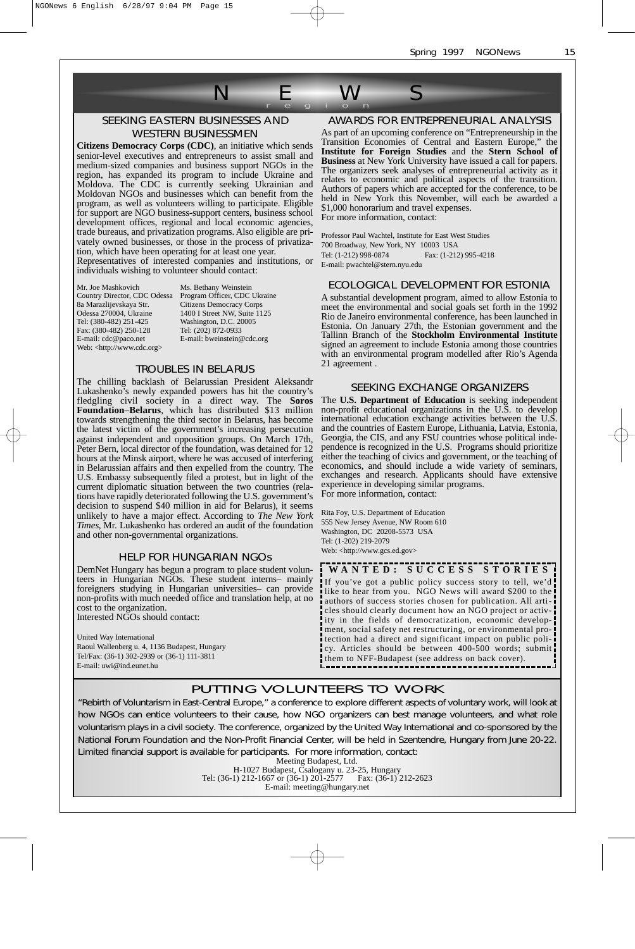

### SEEKING EASTERN BUSINESSES AND WESTERN BUSINESSMEN

**Citizens Democracy Corps (CDC)**, an initiative which sends senior-level executives and entrepreneurs to assist small and medium-sized companies and business support NGOs in the region, has expanded its program to include Ukraine and Moldova. The CDC is currently seeking Ukrainian and Moldovan NGOs and businesses which can benefit from the program, as well as volunteers willing to participate. Eligible for support are NGO business-support centers, business school development offices, regional and local economic agencies, trade bureaus, and privatization programs. Also eligible are privately owned businesses, or those in the process of privatization, which have been operating for at least one year.

Representatives of interested companies and institutions, or individuals wishing to volunteer should contact:

Mr. Joe Mashkovich Ms. Bethany Weinstein<br>Country Director, CDC Odessa Program Officer, CDC 8a Marazlijevskaya Str. Citizens Democracy Corps Tel: (380-482) 251-425<br>Fax: (380-482) 250-128<br>E-mail: cdc@paco.net Web: <http://www.cdc.org>

Program Officer, CDC Ukraine 1400 I Street NW, Suite 1125 Washington, D.C. 20005<br>Tel: (202) 872-0933 E-mail: bweinstein@cdc.org

#### TROUBLES IN BELARUS

The chilling backlash of Belarussian President Aleksandr Lukashenko's newly expanded powers has hit the country's fledgling civil society in a direct way. The **Soros Foundation–Belarus**, which has distributed \$13 million towards strengthening the third sector in Belarus, has become the latest victim of the government's increasing persecution against independent and opposition groups. On March 17th, Peter Bern, local director of the foundation, was detained for 12 hours at the Minsk airport, where he was accused of interfering in Belarussian affairs and then expelled from the country. The U.S. Embassy subsequently filed a protest, but in light of the current diplomatic situation between the two countries (relations have rapidly deteriorated following the U.S. government's decision to suspend \$40 million in aid for Belarus), it seems unlikely to have a major effect. According to *The New York Times*, Mr. Lukashenko has ordered an audit of the foundation and other non-governmental organizations.

#### HELP FOR HUNGARIAN NGOs

DemNet Hungary has begun a program to place student volunteers in Hungarian NGOs. These student interns– mainly foreigners studying in Hungarian universities– can provide non-profits with much needed office and translation help, at no cost to the organization. Interested NGOs should contact:

#### United Way International Raoul Wallenberg u. 4, 1136 Budapest, Hungary Tel/Fax: (36-1) 302-2939 or (36-1) 111-3811 E-mail: uwi@ind.eunet.hu

### AWARDS FOR ENTREPRENEURIAL ANALYSIS

As part of an upcoming conference on "Entrepreneurship in the Transition Economies of Central and Eastern Europe," the **Institute for Foreign Studies** and the **Stern School of Business** at New York University have issued a call for papers. The organizers seek analyses of entrepreneurial activity as it relates to economic and political aspects of the transition. Authors of papers which are accepted for the conference, to be held in New York this November, will each be awarded a \$1,000 honorarium and travel expenses. For more information, contact:

Professor Paul Wachtel, Institute for East West Studies 700 Broadway, New York, NY 10003 USA Tel: (1-212) 998-0874 Fax: (1-212) 995-4218 E-mail: pwachtel@stern.nyu.edu

#### ECOLOGICAL DEVELOPMENT FOR ESTONIA

A substantial development program, aimed to allow Estonia to meet the environmental and social goals set forth in the 1992 Rio de Janeiro environmental conference, has been launched in Estonia. On January 27th, the Estonian government and the Tallinn Branch of the **Stockholm Environmental Institute** signed an agreement to include Estonia among those countries with an environmental program modelled after Rio's Agenda 21 agreement .

#### SEEKING EXCHANGE ORGANIZERS

The **U.S. Department of Education** is seeking independent non-profit educational organizations in the U.S. to develop international education exchange activities between the U.S. and the countries of Eastern Europe, Lithuania, Latvia, Estonia, Georgia, the CIS, and any FSU countries whose political independence is recognized in the U.S. Programs should prioritize either the teaching of civics and government, or the teaching of economics, and should include a wide variety of seminars, exchanges and research. Applicants should have extensive experience in developing similar programs. For more information, contact:

Rita Foy, U.S. Department of Education 555 New Jersey Avenue, NW Room 610 Washington, DC 20208-5573 USA Tel: (1-202) 219-2079 Web: <http://www.gcs.ed.gov>

**W ANTED: SUCCESS ST ORIES** If you've got a public policy success story to tell, we'd like to hear from you. NGO News will award \$200 to the authors of success stories chosen for publication. All articles should clearly document how an NGO project or activity in the fields of democratization, economic development, social safety net restructuring, or environmental protection had a direct and significant impact on public policy. Articles should be between 400-500 words; submit

them to NFF-Budapest (see address on back cover).

#### PUTTING VOLUNTEERS TO WORK

"Rebirth of Voluntarism in East-Central Europe," a conference to explore different aspects of voluntary work, will look at how NGOs can entice volunteers to their cause, how NGO organizers can best manage volunteers, and what role voluntarism plays in a civil society. The conference, organized by the United Way International and co-sponsored by the National Forum Foundation and the Non-Profit Financial Center, will be held in Szentendre, Hungary from June 20-22. Limited financial support is available for participants. For more information, contact:

Meeting Budapest, Ltd. H-1027 Budapest, Csalogany u. 23-25, Hungary Tel: (36-1) 212-1667 or (36-1) 201-2577 Fax: (36-1) 212-2623 E-mail: meeting@hungary.net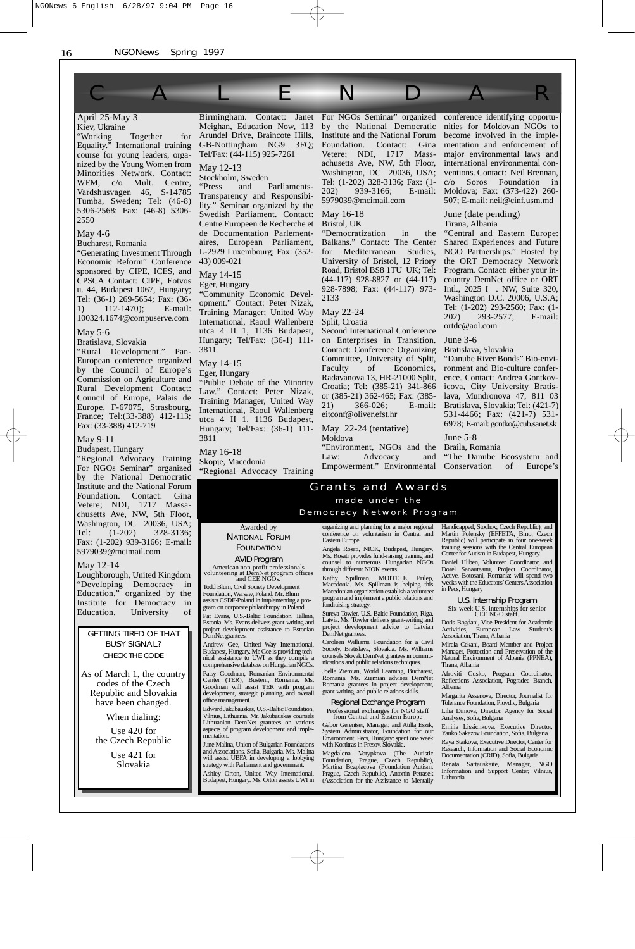#### April 25-May 3 Kiev, Ukraine Birmingham. Contact: Janet For NGOs Seminar" organized conference identifying opportu-CALENDAR

"Working Together for Equality." International training course for young leaders, organized by the Young Women from Minorities Network. Contact: WFM, c/o Mult. Centre, Vardshusvagen 46, S-14785 Tumba, Sweden; Tel: (46-8) 5306-2568; Fax: (46-8) 5306- 2550

May 4-6

Bucharest, Romania "Generating Investment Through Economic Reform" Conference sponsored by CIPE, ICES, and CPSCA Contact: CIPE, Eotvos u. 44, Budapest 1067, Hungary; Tel: (36-1) 269-5654; Fax: (36- 1) 112-1470); E-mail: 100324.1674@compuserve.com

#### May 5-6

Bratislava, Slovakia

"Rural Development." Pan-European conference organized by the Council of Europe's Commission on Agriculture and Rural Development Contact: Council of Europe, Palais de Europe, F-67075, Strasbourg, France; Tel:(33-388) 412-113; Fax: (33-388) 412-719

#### May 9-11

Budapest, Hungary "Regional Advocacy Training For NGOs Seminar" organized by the National Democratic Institute and the National Forum Foundation. Contact: Gina Vetere; NDI, 1717 Massachusetts Ave, NW, 5th Floor, Washington, DC 20036, USA; Tel: (1-202) 328-3136; Fax: (1-202) 939-3166; E-mail: 5979039@mcimail.com

#### May 12-14

Loughborough, United Kingdom "Developing Democracy in Education," organized by the Institute for Democracy in Education, University of

#### GETTING TIRED OF THAT BUSY SIGNAL? CHECK THE CODE

As of March 1, the country codes of the Czech Republic and Slovakia have been changed.

When dialing:

Use 420 for the Czech Republic

> Use 421 for Slovakia

Meighan, Education Now, 113 Arundel Drive, Braincote Hills, GB-Nottingham NG9 3FQ; Tel/Fax: (44-115) 925-7261

May 12-13 Stockholm, Sweden

"Press and Parliaments-Transparency and Responsibility." Seminar organized by the Swedish Parliament. Contact: Centre Europeen de Recherche et de Documentation Parlementaires, European Parliament, L-2929 Luxembourg; Fax: (352- 43) 009-021

#### May 14-15

Eger, Hungary

"Community Economic Development." Contact: Peter Nizak, Training Manager; United Way International, Raoul Wallenberg utca 4 II 1, 1136 Budapest, Hungary; Tel/Fax: (36-1) 111- 3811

May 14-15 Eger, Hungary "Public Debate of the Minority Law." Contact: Peter Nizak, Training Manager, United Way International, Raoul Wallenberg utca 4 II 1, 1136 Budapest, Hungary; Tel/Fax: (36-1) 111- 3811

May 16-18

Skopje, Macedonia "Regional Advocacy Training by the National Democratic Institute and the National Forum Foundation. Contact: Gina Vetere; NDI, 1717 Massachusetts Ave, NW, 5th Floor, Washington, DC 20036, USA; Tel: (1-202) 328-3136; Fax: (1- 202) 939-3166; E-mail: 5979039@mcimail.com

May 16-18

Bristol, UK

"Democratization in the Balkans." Contact: The Center for Mediterranean Studies, University of Bristol, 12 Priory Road, Bristol BS8 1TU UK; Tel: (44-117) 928-8827 or (44-117) 928-7898; Fax: (44-117) 973- 2133

#### May 22-24

Split, Croatia Second International Conference

on Enterprises in Transition. Contact: Conference Organizing Committee, University of Split, Faculty of Economics, Radavanova 13, HR-21000 Split, Croatia; Tel: (385-21) 341-866 or (385-21) 362-465; Fax: (385- 21) 366-026; E-mail: eitconf@oliver.efst.hr

May 22-24 (tentative)

"Environment, NGOs and the

Law: Advocacy and Empowerment." Environmental

#### Grants and A war d <sup>s</sup> made under the Democracy Network Program

organizing and planning for a major regional conference on voluntarism in Central and Eastern Europe.

Angela Rosati, NIOK, Budapest, Hungary. Ms. Rosati provides fund-raising training and counsel to numerous Hungarian NGOs through different NIOK events.

Kathy Spillman, MOITETE, Prilep, Macedonia. Ms. Spillman is helping this Macedonian organization establish a volunteer program and implement a public relations and fundraising strategy.

Sureva Towler, U.S.-Baltic Foundation, Riga, Latvia. Ms. Towler delivers grant-writing and project development advice to Latvian DemNet grantees.

Caroleen Williams, Foundation for a Civil Society, Bratislava, Slovakia. Ms. Williams counsels Slovak DemNet grantees in communications and public relations techniques.

Joelle Ziemian, World Learning, Bucharest, Romania. Ms. Ziemian advises DemNet Romania grantees in project development, grant-writing, and public relations skills.

#### Regional Exchange Program

Professional exchanges for NGO staff from Central and Eastern Europe

Gabor Gerentser, Manager, and Atilla Eszik, System Administrator, Foundation for our Environment, Pecs, Hungary: spent one week with Kostitras in Presov, Slovakia.

Magdalena Votypkova (The Autistic<br>Foundation, Prague, Czech Republic),<br>Martina Bezplacova (Foundation Autism,<br>Prague, Czech Republic), Antonin Petrasek<br>(Association for the Assistance to Mentally

nities for Moldovan NGOs to become involved in the implementation and enforcement of major environmental laws and international environmental conventions. Contact: Neil Brennan, c/o Soros Foundation in Moldova; Fax: (373-422) 260- 507; E-mail: neil@cinf.usm.md

June (date pending) Tirana, Albania

"Central and Eastern Europe: Shared Experiences and Future NGO Partnerships." Hosted by the OR T Democracy Network Program. Contact: either your incountry DemNet office or ORT Intl., 2025 I . NW, Suite 320, Washington D.C. 20006, U.S.A; Tel: (1-202) 293-2560; Fax: (1- 202) 293-2577; E-mail: ortdc@aol.com

#### June 3-6

Bratislava, Slovakia "Danube River Bonds" Bio-environment and Bio-culture conference. Contact: Andrea Gontkovicova, City University Bratislava, Mundronova 47, 811 03 Bratislava, Slovakia; Tel: (421-7) 531-4466; Fax: (421-7) 531- 6978; E-mail: gontko@cub.sanet.sk

#### June 5-8

Braila, Romania "The Danube Ecosystem and Conservation of Europe's

Handicapped, Stochov, Czech Republic), and Martin Polensky (EFFETA, Brno, Czech Republic) will participate in four one-week training sessions with the Central European Center for Autism in Budapest, Hungary.

Daniel Hliben, Volunteer Coordinator, and Dorel Sanauteanu, Project Coordinator, Active, Botosani, Romania: will spend two weeks with the Educators'Centers Association

U.S. Internship Program

Six-week U.S. internships for senior CEE NGO staff.

Doris Bogdani, Vice President for Academic Activities, European Law Student's Association, Tirana, Albania

Mirela Cekani, Board Member and Project Manager, Protection and Preservation of the Natural Environment of Albania (PPNEA), Tirana, Albania

Afroviti Gusko, Program Coordinator, Reflections Association, Pogradec Branch, Albania

Margarita Assenova, Director, Journalist for Tolerance Foundation, Plovdiv, Bulgaria Lilia Dimova, Director, Agency for Social Analyses, Sofia, Bulgaria

Emilia Lissichkova, Executive Director, Yanko Sakazov Foundation, Sofia, Bulgaria

Raya Staikova, Executive Director, Center for Research, Information and Social Economic Documentation (CRID), Sofia, Bulgaria

Renata Sartauskaite, Manager, NGO Information and Support Center, Vilnius, Lithuania

AVID Program

Todd Blum, Civil Society Development Foundation, Warsaw, Poland. Mr. Blum assists CSDF-Poland in implementing a pro-gram on corporate philanthropy in Poland.

office management.

June Malina, Union of Bulgarian Foundations and Associations, Sofia, Bulgaria. Ms. Malina will assist UBFA in developing a lobbying strategy with Parliament and government.

### Awarded by NATIONAL FORUM

## FOUNDATION

American non-profit professionals volunteering at DemNet program offices and CEE NGOs.

Pat Evans, U.S.-Baltic Foundation, Tallinn, Estonia. Ms. Evans delivers grant-writing and project development assistance to Estonian DemNet grantees.

Andrew Gee, United Way International, Budapest, Hungary. Mr. Gee is providing tech-nical assistance to UWI as they compile a comprehensive database on Hungarian NGOs.

Patsy Goodman, Romanian Environmental Center (TER), Busteni, Romania. Ms. Goodman will assist TER with program development, strategic planning, and overall

Edward Jakubauskas, U.S.-Baltic Foundation, Vilnius, Lithuania. Mr. Jakubauskas counsels Lithuanian DemNet grantees on various aspects of program development and imple-mentation.

Ashley Orton, United Way International, Budapest, Hungary. Ms. Orton assists UWI in

Moldova

in Pecs, Hungary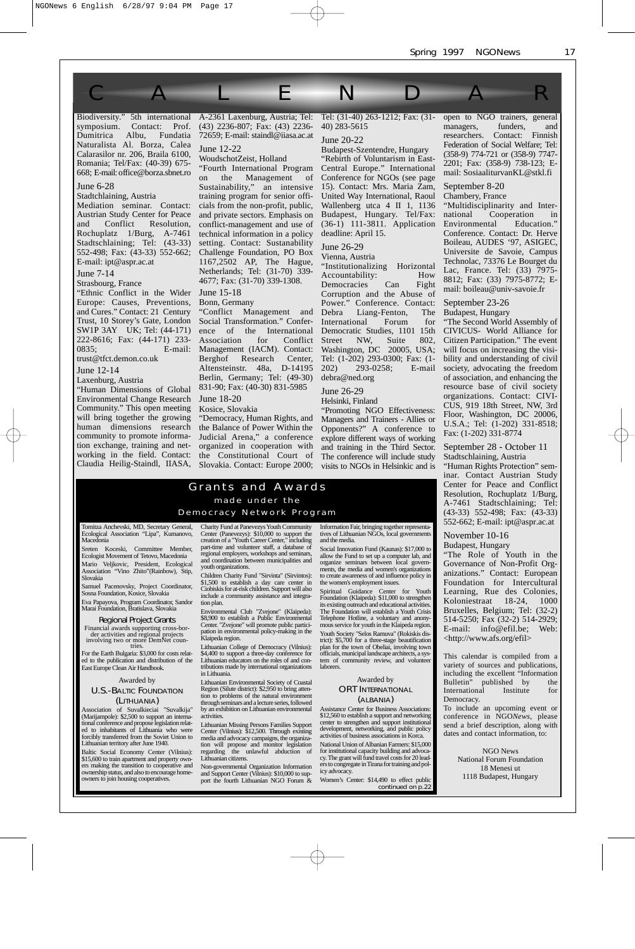symposium. Contact: Prof. Dumitrica Albu, Fundatia Naturalista Al. Borza, Calea Calarasilor nr. 206, Braila 6100, Romania; Tel/Fax: (40-39) 675- 668; E-mail: office@borza.sbnet.ro

June 6-28

Stadtchlaining, Austria

Mediation seminar. Contact: Austrian Study Center for Peace and Conflict Resolution, Rochuplatz 1/Burg, A-7461 Stadtschlaining; Tel: (43-33) 552-498; Fax: (43-33) 552-662; E-mail: ipt@aspr.ac.at

June 7-14

Strasbourg, France

"Ethnic Conflict in the Wider Europe: Causes, Preventions, and Cures." Contact: 21 Century Trust, 10 Storey's Gate, London SW1P 3AY UK; Tel: (44-171) 222-8616; Fax: (44-171) 233- 0835; E-mail:

trust@tfct.demon.co.uk

June 12-14

Laxenburg, Austria

"Human Dimensions of Global Environmental Change Research Community." This open meeting will bring together the growing human dimensions research community to promote information exchange, training and networking in the field. Contact:

Biodiversity." 5th international A-2361 Laxenburg, Austria; Tel: (43) 2236-807; Fax: (43) 2236- 72659; E-mail: staindl@iiasa.ac.at June 12-22

WoudschotZeist, Holland

"Fourth International Program on the Management of Sustainability," an intensive training program for senior officials from the non-profit, public, and private sectors. Emphasis on conflict-management and use of technical information in a policy setting. Contact: Sustanability Challenge Foundation, PO Box 1167,2502 AP, The Hague, Netherlands; Tel: (31-70) 339- 4677; Fax: (31-70) 339-1308.

June 15-18 Bonn, Germany

"Conflict Management and Social Transformation." Conference of the International Association for Conflict Management (IACM). Contact: Berghof Research Center, Altensteinstr. 48a, D-14195 Berlin, Germany; Tel: (49-30) 831-90; Fax: (40-30) 831-5985

June 18-20

Kosice, Slovakia

Claudia Heilig-Staindl, IIASA, Slovakia. Contact: Europe 2000; "Democracy, Human Rights, and the Balance of Power Within the Judicial Arena," a conference organized in cooperation with the Constitutional Court of

Tel: (31-40) 263-1212; Fax: (31- 40) 283-5615

June 20-22

CALENDAR

Budapest-Szentendre, Hungary "Rebirth of Voluntarism in East-Central Europe." International Conference for NGOs (see page 15). Contact: Mrs. Maria Zam, United Way International, Raoul Wallenberg utca 4 II 1, 1136<br>Budapest, Hungary. Tel/Fax: Hungary. Tel/Fax: (36-1) 111-3811. Application deadline: April 15.

June 26-29 Vienna, Austria

"Institutionalizing Horizontal Accountability: How<br>Democracies Can Fight Democracies Corruption and the Abuse of Power." Conference. Contact: Debra Liang-Fenton, The International Forum for Democratic Studies, 1101 15th Street NW, Suite 802, Washington, DC 20005, USA; Tel: (1-202) 293-0300; Fax: (1- 202) 293-0258; E-mail debra@ned.org

June 26-29

#### Helsinki, Finland

"Promoting NGO Effectiveness: Managers and Trainers - Allies or Opponents?" A conference to explore different ways of working and training in the Third Sector. The conference will include study visits to NGOs in Helsinkic and is

#### Grants and A war d <sup>s</sup> made under the Democracy Network Program

Tomitza Anchevski, MD, Secretary General, Ecological Association "Lipa", Kumanovo, Ecologicai<br>Macedonia

Sreten Koceski, Committee Member, Ecologist Movement of Tetovo, Macedonia Mario Veljkovic, President, Ecological Association "Vino Zhito"(Rainbow), Stip, Slovakia

Samuel Pacenovsky, Project Coordinator, Sosna Foundation, Kosice, Slovakia

Eva Papayova, Program Coordinator, Sandor Marai Foundation, Bratislava, Slovakia

Regional Project Grants Financial awards supporting cross-bor-<br>der activities and regional projects<br>involving two or more DemNet coun-<br>tries.

For the Earth Bulgaria: \$3,000 for costs relat-ed to the publication and distribution of the East Europe Clean Air Handbook.

Awarded by U.S.-BALTIC FOUNDATION

(LITHUANIA)

Association of Suvalkieciai "Suvalkija"<br>(Marijampole): \$2,500 to support an interna-<br>tional conference and propose legislation relat-<br>ed to inhabitants of Lithuania who were<br>forcibly transferred from the Soviet Union to<br>Li

Baltic Social Economy Center (Vilnius): \$15,600 to train apartment and property own-ers making the transition to cooperative and ownership status, and also to encourage home-owners to join housing cooperatives.

Charity Fund at Panevezys Youth Community<br>Center (Panevezys): S10,000 to support the<br>creation of a "Youth Career Center," including<br>part-time and volunteer staff, a database of<br>regional employers, workshops and seminars,<br>a youth organizations.

Children Charity Fund "Sirvinta" (Sirvintos): \$1,500 to establish a day care center in Ciobiskis for at-risk children. Support will also include a community assistance and integration plan.

Environmental Club "Zvejone" (Klaipeda): \$8,900 to establish a Public Environmental Center. "Zvejone" will promote public partici-pation in environmental policy-making in the Klaipeda region.

Lithuanian College of Democracy (Vilnius): \$4,400 to support a three-day conference for Lithuanian educators on the roles of and con-tributions made by international organizations in Lithuania.

Lithuanian Environmental Society of Coastal<br>Region (Silute district): \$2,950 to bring attention<br>too problems of the natural environment<br>through seminars and a lecture series, followed<br>by an exhibition on Lithuanian environ activities.

Lithuanian Missing Persons Families Support<br>Center (Vilnius): \$12,500. Through existing<br>media and advocacy campaigns, the organiza-<br>tion will propose and monitor legislation<br>regarding the unlawful abduction of<br>Lithuanian c

Non-governmental Organization Information and Support Center (Vilnius): \$10,000 to sup-port the fourth Lithuanian NGO Forum &

Information Fair, bringing together representa-tives of Lithuanian NGOs, local governments and the media.

Social Innovation Fund (Kaunas): \$17,000 to allow the Fund to set up a computer lab, and organize seminars between local govern-ments, the media and women's organizations to create awareness of and influence policy in the women's employment issues.

Spiritual Guidance Center for Youth Foundation (Klaipeda): \$11,000 to strengthen its existing outreach and educational activities. The Foundation will establish a Youth Crisis Telephone Hotline, a voluntary and anony-mous service for youth in the Klaipeda region. Youth Society "Selos Ramuva" (Rokiskis district): \$5,700 for a three-stage beautification plan for the town of Obeliai, involving town officials, municipal landscape architects, a sys-tem of community review, and volunteer laborers.

#### Awarded by ORT INTERNATIONAL (ALBANIA)

Assistance Center for Business Associations:<br>\$12,560 to establish a support and networking<br>center to strengthen and support institutional<br>development, networking, and public policy<br>activities of business associations in Ko National Union of Albanian Farmers: \$15,000 for institutional capacity building and advoca-cy. The grant will fund travel costs for 20 lead-ers to congregate in Tirana for training and pol-icy advocacy. Women's Center: \$14,490 to effect public

continued on p.22

open to NGO trainers, general<br>managers. funders. and funders, researchers. Contact: Finnish Federation of Social Welfare; Tel: (358-9) 774-721 or (358-9) 7747- 2201; Fax: (358-9) 738-123; Email: SosiaaliturvanKL@stkl.fi

September 8-20 Chambery, France

"Multidisciplinarity and Inter-Cooperation in<br>
mtal Education." Environmental Conference. Contact: Dr. Herve Boileau, AUDES '97, ASIGEC, Universite de Savoie, Campus Technolac, 73376 Le Bourget du Lac, France. Tel: (33) 7975- 8812; Fax: (33) 7975-8772; Email: boileau@univ-savoie.fr

#### September 23-26

Budapest, Hungary "The Second World Assembly of CIVICUS- World Alliance for Citizen Participation." The event will focus on increasing the visibility and understanding of civil society, advocating the freedom of association, and enhancing the resource base of civil society organizations. Contact: CIVI-CUS, 919 18th Street, NW, 3rd Floor, Washington, DC 20006, U.S.A.; Tel: (1-202) 331-8518; Fax: (1-202) 331-8774

September 28 - October 11 Stadtschlaining, Austria

"Human Rights Protection" seminar. Contact Austrian Study Center for Peace and Conflict Resolution, Rochuplatz 1/Burg, A-7461 Stadtschlaining; Tel: (43-33) 552-498; Fax: (43-33) 552-662; E-mail: ipt@aspr.ac.at

November 10-16

Budapest, Hungary "The Role of Youth in the Governance of Non-Profit Organizations." Contact: European Foundation for Intercultural Learning, Rue des Colonies,<br>Koloniestraat 18-24, 1000 Koloniestraat Bruxelles, Belgium; Tel: (32-2) 514-5250; Fax (32-2) 514-2929;

E-mail: info@efil.be; Web: <http://www.afs.org/efil>

This calendar is compiled from a variety of sources and publications, including the excellent "Information Bulletin" published by the International Institute for Democracy.

To include an upcoming event or conference in NGO*News*, please send a brief description, along with dates and contact information, to:

> NGO News National Forum Foundation 18 Menesi ut 1118 Budapest, Hungary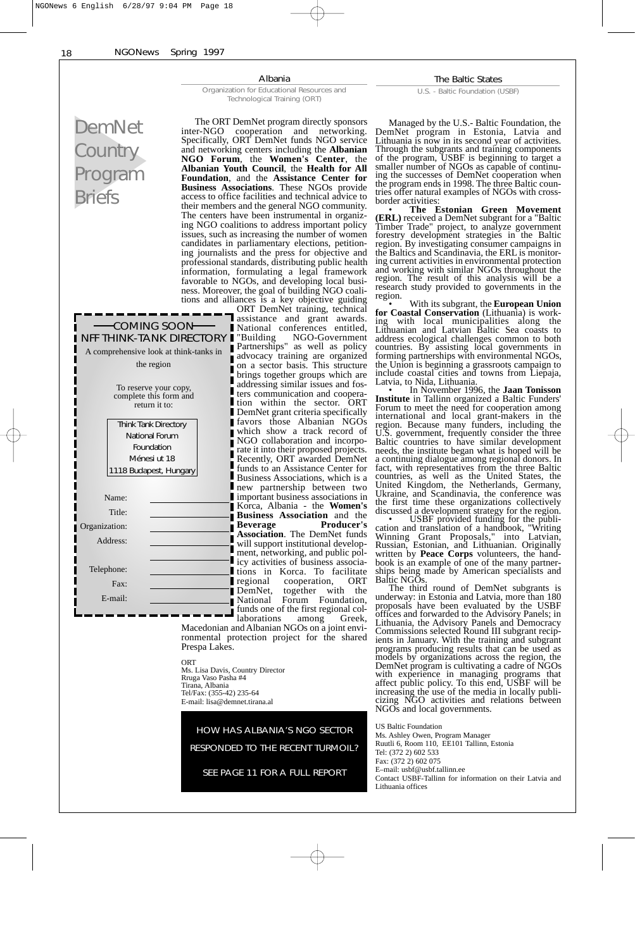18 NGONews Spring 1997 Albania The Baltic States Organization for Educational Resources and U.S. - Baltic Foundation (USBF) Technological Training (ORT) DemNet The ORT DemNet program directly sponsors Managed by the U.S.- Baltic Foundation, the inter-NGO cooperation and networking. DemNet program in Estonia, Latvia and Specifically, ORT DemNet funds NGO service Lithuania is now in its second year of activities. **Country** and networking centers including the **Albanian** Through the subgrants and training components of the program, USBF is beginning to target a **NGO Forum**, the **Women's Center**, the smaller number of NGOs as capable of continu-Program **Albanian Youth Council**, the **Health for All Foundation**, and the **Assistance Center for** ing the successes of DemNet cooperation when **Business Associations**. These NGOs provide the program ends in 1998. The three Baltic coun-Briefs tries offer natural examples of NGOs with crossaccess to office facilities and technical advice to border activities: their members and the general NGO community. • **The Estonian Green Movement** The centers have been instrumental in organiz-**(ERL)** received a DemNet subgrant for a "Baltic Timber Trade" project, to analyze government ing NGO coalitions to address important policy issues, such as increasing the number of women forestry development strategies in the Baltic candidates in parliamentary elections, petitionregion. By investigating consumer campaigns in the Baltics and Scandinavia, the ERL is monitoring journalists and the press for objective and professional standards, distributing public health ing current activities in environmental protection and working with similar NGOs throughout the information, formulating a legal framework region. The result of this analysis will be a favorable to NGOs, and developing local busiresearch study provided to governments in the ness. Moreover, the goal of building NGO coaliregion. tions and alliances is a key objective guiding With its subgrant, the **European Union for Coastal Conservation** (Lithuania) is work-ORT DemNet training, technical assistance and grant awards. ing with local municipalities along the Lithuanian and Latvian Baltic Sea coasts to COMING SOON National conferences entitled, NFF THINK-TANK DIRECTORY | "Building "Building NGO-Government address ecological challenges common to both Partnerships" as well as policy countries. By assisting local governments in A comprehensive look at think-tanks in advocacy training are organized advocacy training are organized<br>on a sector basis. This structure forming partnerships with environmental NGOs, the region the Union is beginning a grassroots campaign to include coastal cities and towns from Liepaja, brings together groups which are Π Latvia, to Nida, Lithuania. • In November 1996, the **Jaan Tonisson** addressing similar issues and fos-To reserve your copy, ters communication and cooperacomplete this form and **Institute** in Tallinn organized a Baltic Funders' return it to: tion within the sector. ORT Forum to meet the need for cooperation among DemNet grant criteria specifically favors those Albanian NGOs international and local grant-makers in the Think Tank Directory region. Because many funders, including the which show a track record of National Forum U.S. government, frequently consider the three NGO collaboration and incorpo-Baltic countries to have similar development Foundation rate it into their proposed projects. needs, the institute began what is hoped will be Ménesi ut 18 Recently, ORT awarded DemNet a continuing dialogue among regional donors. In fact, with representatives from the three Baltic 1118 Budapest, Hungary funds to an Assistance Center for Business Associations, which is a countries, as well as the United States, the new partnership between two United Kingdom, the Netherlands, Germany, important business associations in Ukraine, and Scandinavia, the conference was Name: the first time these organizations collectively Korca, Albania - the **Women's** Title: discussed a development strategy for the region. • USBF provided funding for the publi-**Business Association** and the **Beverage Producer's** Organization: cation and translation of a handbook, "Writing **Association**. The DemNet funds Winning Grant Proposals," into Latvian, Address: will support institutional develop-Russian, Estonian, and Lithuanian. Originally ment, networking, and public polwritten by **Peace Corps** volunteers, the handicy activities of business associabook is an example of one of the many partner-Telephone: ships being made by American specialists and tions in Korca. To facilitate regional cooperation, ORT<br>DemNet, together with the Baltic NGOs. Fax: The third round of DemNet subgrants is DemNet, together with the<br>National Forum Foundation, underway: in Estonia and Latvia, more than 180 E-mail: Forum Foundation, proposals have been evaluated by the USBF funds one of the first regional coloffices and forwarded to the Advisory Panels; in laborations among Greek, Lithuania, the Advisory Panels and Democracy Macedonian and Albanian NGOs on a joint envi-Commissions selected Round III subgrant recipronmental protection project for the shared ients in January. With the training and subgrant Prespa Lakes. programs producing results that can be used as models by organizations across the region, the **ORT** DemNet program is cultivating a cadre of NGOs Ms. Lisa Davis, Country Director with experience in managing programs that Rruga Vaso Pasha #4 Tirana, Albania affect public policy. To this end, USBF will be Tel/Fax: (355-42) 235-64 increasing the use of the media in locally publi-E-mail: lisa@demnet.tirana.al cizing NGO activities and relations between NGOs and local governments. US Baltic Foundation HOW HAS ALBANIA'S NGO SECTOR Ms. Ashley Owen, Program Manager Ruutli 6, Room 110, EE101 Tallinn, Estonia RESPONDED TO THE RECENT TURMOIL? Tel: (372 2) 602 533 Fax: (372 2) 602 075 SEE PAGE 11 FOR A FULL REPORT E–mail: usbf@usbf.tallinn.ee Contact USBF-Tallinn for information on their Latvia and Lithuania offices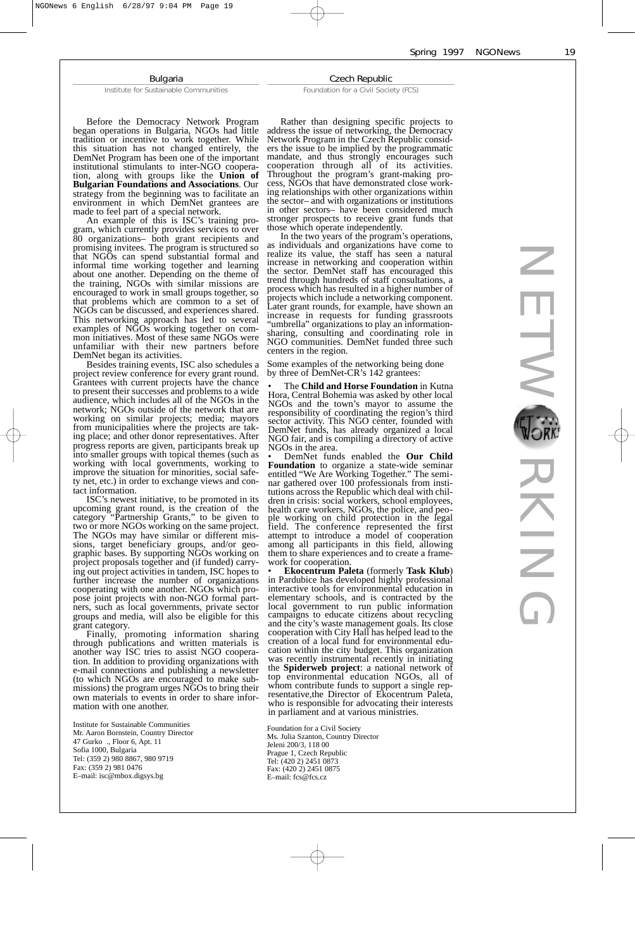#### Bulgaria

Institute for Sustainable Communities

Before the Democracy Network Program began operations in Bulgaria, NGOs had little tradition or incentive to work together. While this situation has not changed entirely, the DemNet Program has been one of the important institutional stimulants to inter-NGO cooperation, along with groups like the **Union of Bulgarian Foundations and Associations**. Our strategy from the beginning was to facilitate an environment in which DemNet grantees are made to feel part of a special network.

An example of this is ISC's training program, which currently provides services to over 80 organizations– both grant recipients and promising invitees. The program is structured so that NGOs can spend substantial formal and informal time working together and learning about one another. Depending on the theme of the training, NGOs with similar missions are encouraged to work in small groups together, so that problems which are common to a set of NGOs can be discussed, and experiences shared. This networking approach has led to several examples of NGOs working together on common initiatives. Most of these same NGOs were unfamiliar with their new partners before DemNet began its activities.

Besides training events, ISC also schedules a project review conference for every grant round. Grantees with current projects have the chance to present their successes and problems to a wide audience, which includes all of the NGOs in the network; NGOs outside of the network that are working on similar projects; media; mayors from municipalities where the projects are taking place; and other donor representatives. After progress reports are given, participants break up into smaller groups with topical themes (such as working with local governments, working to improve the situation for minorities, social safety net, etc.) in order to exchange views and contact information.

ISC's newest initiative, to be promoted in its upcoming grant round, is the creation of the category "Partnership Grants," to be given to two or more NGOs working on the same project. The NGOs may have similar or different missions, target beneficiary groups, and/or geographic bases. By supporting NGOs working on project proposals together and (if funded) carrying out project activities in tandem, ISC hopes to further increase the number of organizations cooperating with one another. NGOs which propose joint projects with non-NGO formal partners, such as local governments, private sector groups and media, will also be eligible for this grant category.

Finally, promoting information sharing through publications and written materials is another way ISC tries to assist NGO cooperation. In addition to providing organizations with e-mail connections and publishing a newsletter (to which NGOs are encouraged to make submissions) the program urges NGOs to bring their own materials to events in order to share information with one another.

Institute for Sustainable Communities Mr. Aaron Bornstein, Country Director 47 Gurko ., Floor 6, Apt. 11 Sofia 1000, Bulgaria Tel: (359 2) 980 8867, 980 9719 Fax: (359 2) 981 0476 E–mail: isc@mbox.digsys.bg

Rather than designing specific projects to address the issue of networking, the Democracy Network Program in the Czech Republic considers the issue to be implied by the programmatic mandate, and thus strongly encourages such cooperation through all of its activities. Throughout the program's grant-making process, NGOs that have demonstrated close working relationships with other organizations within the sector– and with organizations or institutions in other sectors– have been considered much stronger prospects to receive grant funds that those which operate independently.

Czech Republic Foundation for a Civil Society (FCS)

In the two years of the program's operations, as individuals and organizations have come to realize its value, the staff has seen a natural increase in networking and cooperation within the sector. DemNet staff has encouraged this trend through hundreds of staff consultations, a process which has resulted in a higher number of projects which include a networking component. Later grant rounds, for example, have shown an increase in requests for funding grassroots "umbrella" organizations to play an informationsharing, consulting and coordinating role in NGO communities. DemNet funded three such centers in the region.

Some examples of the networking being done by three of DemNet-CR's 142 grantees:

• Ine **Child and Horse Foundation** in Kutha<br>Hora, Central Bohemia was asked by other local The **Child and Horse Foundation** in Kutna NGOs and the town's mayor to assume the responsibility of coordinating the region's third sector activity. This NGO center, founded with DemNet funds, has already organized a local NGO fair, and is compiling a directory of active NGOs in the area.

• DemNet funds enabled the **Our Child Foundation** to organize a state-wide seminar entitled "We Are Working Together." The seminar gathered over 100 professionals from institutions across the Republic which deal with children in crisis: social workers, school employees, health care workers, NGOs, the police, and people working on child protection in the legal field. The conference represented the first attempt to introduce a model of cooperation among all participants in this field, allowing them to share experiences and to create a framework for cooperation

• **Ekocentrum Paleta** (formerly **Task Klub**) in Pardubice has developed highly professional interactive tools for environmental education in elementary schools, and is contracted by the local government to run public information campaigns to educate citizens about recycling and the city's waste management goals. Its close cooperation with City Hall has helped lead to the creation of a local fund for environmental education within the city budget. This organization was recently instrumental recently in initiating the **Spiderweb project**: a national network of top environmental education NGOs, all of whom contribute funds to support a single representative,the Director of Ekocentrum Paleta, who is responsible for advocating their interests in parliament and at various ministries.

Foundation for a Civil Society Ms. Julia Szanton, Country Director Jeleni 200/3, 118 00 Prague 1, Czech Republic Tel: (420 2) 2451 0873 Fax: (420 2) 2451 0875 E–mail: fcs@fcs.cz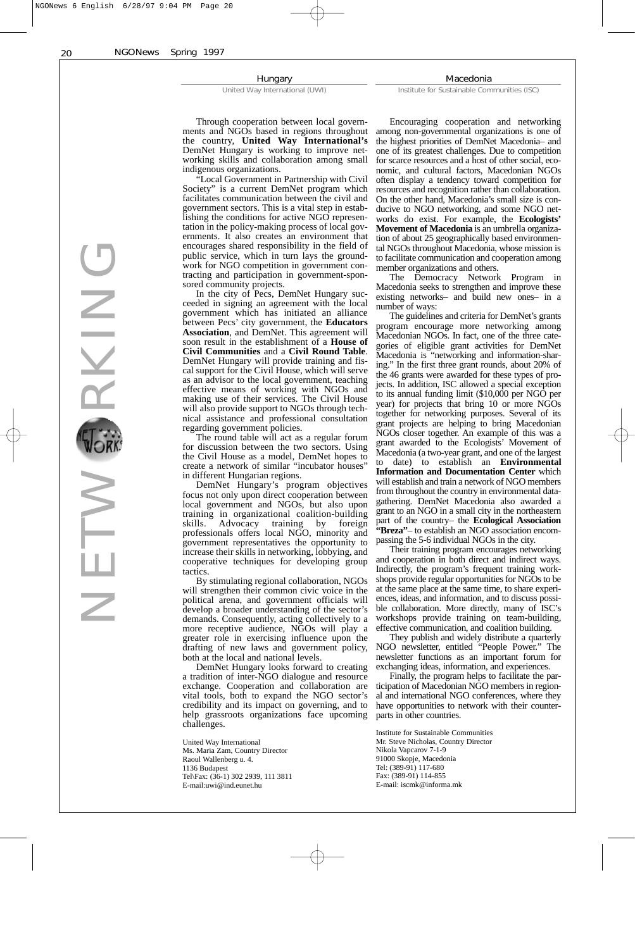Hungary

United Way International (UWI)

Macedonia

Institute for Sustainable Communities (ISC)

Through cooperation between local governments and NGOs based in regions throughout the country, **United Way International's** DemNet Hungary is working to improve networking skills and collaboration among small indigenous organizations.

"Local Government in Partnership with Civil Society" is a current DemNet program which facilitates communication between the civil and government sectors. This is a vital step in establishing the conditions for active NGO representation in the policy-making process of local governments. It also creates an environment that encourages shared responsibility in the field of public service, which in turn lays the groundwork for NGO competition in government contracting and participation in government-sponsored community projects.

In the city of Pecs, DemNet Hungary succeeded in signing an agreement with the local government which has initiated an alliance between Pecs' city government, the **Educators Association**, and DemNet. This agreement will soon result in the establishment of a **House of Civil Communities** and a **Civil Round Table**. DemNet Hungary will provide training and fiscal support for the Civil House, which will serve as an advisor to the local government, teaching effective means of working with NGOs and making use of their services. The Civil House will also provide support to NGOs through technical assistance and professional consultation regarding government policies.

The round table will act as a regular forum for discussion between the two sectors. Using the Civil House as a model, DemNet hopes to create a network of similar "incubator houses" in different Hungarian regions.

DemNet Hungary's program objectives focus not only upon direct cooperation between local government and NGOs, but also upon training in organizational coalition-building<br>skills. Advocacy training by foreign Advocacy training by foreign professionals offers local NGO, minority and government representatives the opportunity to increase their skills in networking, lobbying, and cooperative techniques for developing group tactics.

By stimulating regional collaboration, NGOs will strengthen their common civic voice in the political arena, and government officials will develop a broader understanding of the sector's demands. Consequently, acting collectively to a more receptive audience, NGOs will play a greater role in exercising influence upon the drafting of new laws and government policy, both at the local and national levels.

DemNet Hungary looks forward to creating a tradition of inter-NGO dialogue and resource exchange. Cooperation and collaboration are vital tools, both to expand the NGO sector's credibility and its impact on governing, and to help grassroots organizations face upcoming challenges.

United Way International Ms. Maria Zam, Country Director Raoul Wallenberg u. 4. 1136 Budapest Tel\Fax: (36-1) 302 2939, 111 3811 E-mail:uwi@ind.eunet.hu

Encouraging cooperation and networking among non-governmental organizations is one of the highest priorities of DemNet Macedonia– and one of its greatest challenges. Due to competition for scarce resources and a host of other social, economic, and cultural factors, Macedonian NGOs often display a tendency toward competition for resources and recognition rather than collaboration. On the other hand, Macedonia's small size is conducive to NGO networking, and some NGO networks do exist. For example, the **Ecologists' Movement of Macedonia** is an umbrella organization of about 25 geographically based environmental NGOs throughout Macedonia, whose mission is to facilitate communication and cooperation among member organizations and others.

The Democracy Network Program in Macedonia seeks to strengthen and improve these existing networks– and build new ones– in a number of ways:

The guidelines and criteria for DemNet's grants program encourage more networking among Macedonian NGOs. In fact, one of the three categories of eligible grant activities for DemNet Macedonia is "networking and information-sharing." In the first three grant rounds, about 20% of the 46 grants were awarded for these types of projects. In addition, ISC allowed a special exception to its annual funding limit (\$10,000 per NGO per year) for projects that bring 10 or more NGOs together for networking purposes. Several of its grant projects are helping to bring Macedonian NGOs closer together. An example of this was a grant awarded to the Ecologists' Movement of Macedonia (a two-year grant, and one of the largest to date) to establish an **Environmental Information and Documentation Center** which will establish and train a network of NGO members from throughout the country in environmental datagathering. DemNet Macedonia also awarded a grant to an NGO in a small city in the northeastern part of the country– the **Ecological Association "Breza"**– to establish an NGO association encompassing the 5-6 individual NGOs in the city.

Their training program encourages networking and cooperation in both direct and indirect ways. Indirectly, the program's frequent training workshops provide regular opportunities for NGOs to be at the same place at the same time, to share experiences, ideas, and information, and to discuss possible collaboration. More directly, many of ISC's workshops provide training on team-building, effective communication, and coalition building.

They publish and widely distribute a quarterly NGO newsletter, entitled "People Power." The newsletter functions as an important forum for exchanging ideas, information, and experiences.

Finally, the program helps to facilitate the participation of Macedonian NGO members in regional and international NGO conferences, where they have opportunities to network with their counterparts in other countries.

Institute for Sustainable Communities Mr. Steve Nicholas, Country Director Nikola Vapcarov 7-1-9 91000 Skopje, Macedonia Tel: (389-91) 117-680 Fax: (389-91) 114-855 E-mail: iscmk@informa.mk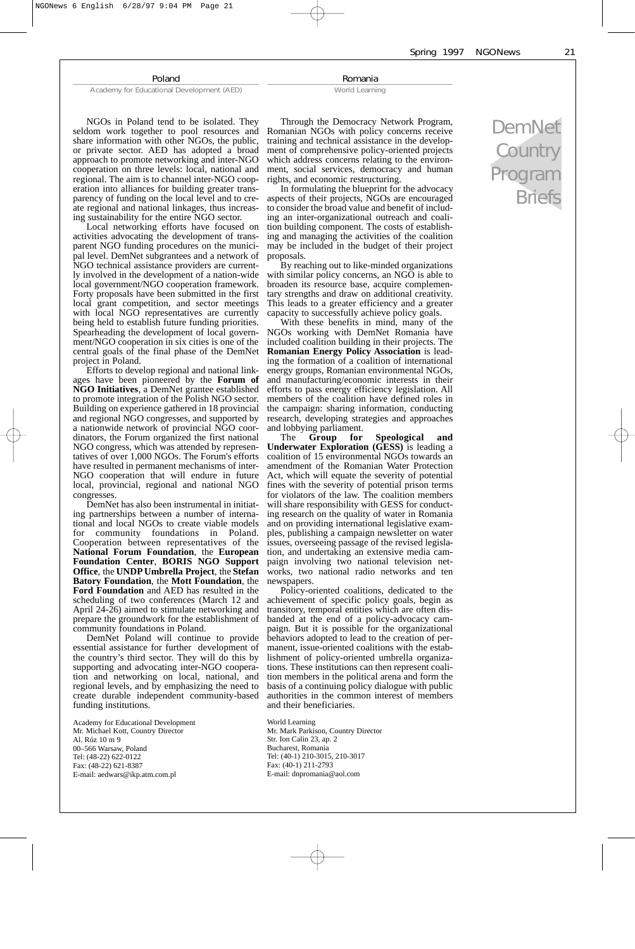Spring 1997 NGONews 21

#### Poland

Academy for Educational Development (AED)

NGOs in Poland tend to be isolated. They seldom work together to pool resources and

Romania World Learning

Through the Democracy Network Program, Romanian NGOs with policy concerns receive training and technical assistance in the development of comprehensive policy-oriented projects which address concerns relating to the environment, social services, democracy and human rights, and economic restructuring.

In formulating the blueprint for the advocacy aspects of their projects, NGOs are encouraged to consider the broad value and benefit of including an inter-organizational outreach and coalition building component. The costs of establishing and managing the activities of the coalition may be included in the budget of their project proposals.

By reaching out to like-minded organizations with similar policy concerns, an NGO is able to broaden its resource base, acquire complementary strengths and draw on additional creativity. This leads to a greater efficiency and a greater capacity to successfully achieve policy goals.

With these benefits in mind, many of the NGOs working with DemNet Romania have included coalition building in their projects. The **Romanian Energy Policy Association** is leading the formation of a coalition of international energy groups, Romanian environmental NGOs, and manufacturing/economic interests in their efforts to pass energy efficiency legislation. All members of the coalition have defined roles in the campaign: sharing information, conducting research, developing strategies and approaches and lobbying parliament.<br>The **Group** for

The **Group for Speological and Underwater Exploration (GESS)** is leading a coalition of 15 environmental NGOs towards an amendment of the Romanian Water Protection Act, which will equate the severity of potential fines with the severity of potential prison terms for violators of the law. The coalition members will share responsibility with GESS for conducting research on the quality of water in Romania and on providing international legislative examples, publishing a campaign newsletter on water issues, overseeing passage of the revised legislation, and undertaking an extensive media campaign involving two national television networks, two national radio networks and ten newspapers.

Policy-oriented coalitions, dedicated to the achievement of specific policy goals, begin as transitory, temporal entities which are often disbanded at the end of a policy-advocacy campaign. But it is possible for the organizational behaviors adopted to lead to the creation of permanent, issue-oriented coalitions with the establishment of policy-oriented umbrella organizations. These institutions can then represent coalition members in the political arena and form the basis of a continuing policy dialogue with public authorities in the common interest of members and their beneficiaries.

World Learning Mr. Mark Parkison, Country Director Str. Ion Calin 23, ap. 2 Bucharest, Romania Tel: (40-1) 210-3015, 210-3017 Fax: (40-1) 211-2793 E-mail: dnpromania@aol.com

DemNet **Country** Program Briefs

share information with other NGOs, the public, or private sector. AED has adopted a broad approach to promote networking and inter-NGO cooperation on three levels: local, national and regional. The aim is to channel inter-NGO cooperation into alliances for building greater transparency of funding on the local level and to create regional and national linkages, thus increasing sustainability for the entire NGO sector.

Local networking efforts have focused on activities advocating the development of transparent NGO funding procedures on the municipal level. DemNet subgrantees and a network of NGO technical assistance providers are currently involved in the development of a nation-wide local government/NGO cooperation framework. Forty proposals have been submitted in the first local grant competition, and sector meetings with local NGO representatives are currently being held to establish future funding priorities. Spearheading the development of local government/NGO cooperation in six cities is one of the central goals of the final phase of the DemNet project in Poland.

Efforts to develop regional and national linkages have been pioneered by the **Forum of NGO Initiatives**, a DemNet grantee established to promote integration of the Polish NGO sector. Building on experience gathered in 18 provincial and regional NGO congresses, and supported by a nationwide network of provincial NGO coordinators, the Forum organized the first national NGO congress, which was attended by representatives of over 1,000 NGOs. The Forum's efforts have resulted in permanent mechanisms of inter-NGO cooperation that will endure in future local, provincial, regional and national NGO congresses.

DemNet has also been instrumental in initiating partnerships between a number of international and local NGOs to create viable models for community foundations in Poland. Cooperation between representatives of the **National Forum Foundation**, the **European Foundation Center**, **BORIS NGO Support Office**, the **UNDP Umbrella Project**, the **Stefan Batory Foundation**, the **Mott Foundation**, the **Ford Foundation** and AED has resulted in the scheduling of two conferences (March 12 and April 24-26) aimed to stimulate networking and prepare the groundwork for the establishment of community foundations in Poland.

DemNet Poland will continue to provide essential assistance for further development of the country's third sector. They will do this by supporting and advocating inter-NGO cooperation and networking on local, national, and regional levels, and by emphasizing the need to create durable independent community-based funding institutions.

Academy for Educational Development Mr. Michael Kott, Country Director Al. Róz 10 m 9 00–566 Warsaw, Poland Tel: (48-22) 622-0122 Fax: (48-22) 621-8387 E-mail: aedwars@ikp.atm.com.pl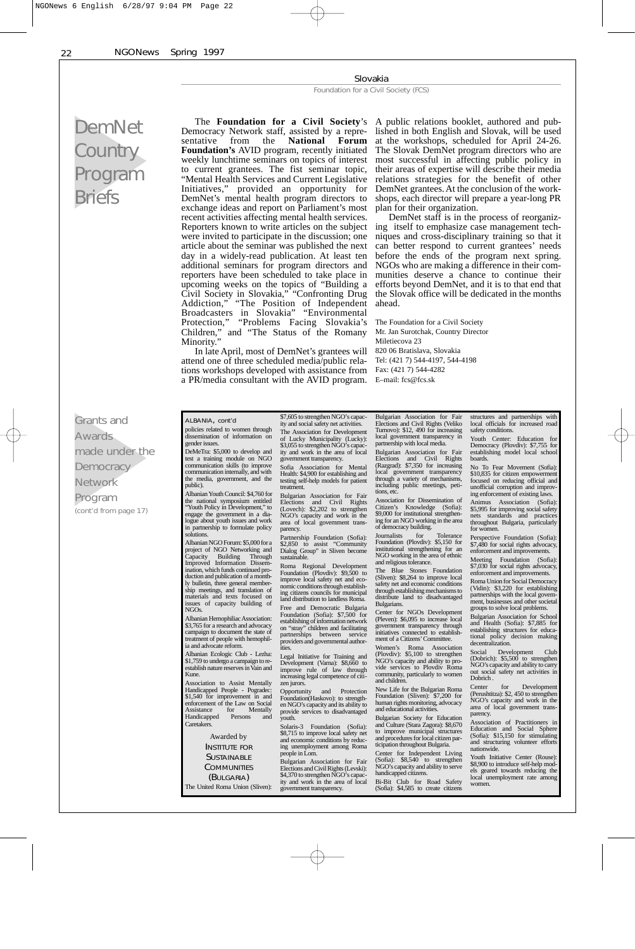#### Slovakia

Foundation for a Civil Society (FCS)

# DemNet **Country** Program Briefs

 $\mathsf G$ 

 $\overline{N}$  $\overline{P}$  Democracy Network staff, assisted by a repre-<br>sentative from the **National Forum** sentative from the **National Forum Foundation's** AVID program, recently initiated weekly lunchtime seminars on topics of interest to current grantees. The fist seminar topic, "Mental Health Services and Current Legislative<br>Initiatives," provided an opportunity for provided an opportunity for DemNet's mental health program directors to exchange ideas and report on Parliament's most recent activities affecting mental health services. Reporters known to write articles on the subject were invited to participate in the discussion; one article about the seminar was published the next day in a widely-read publication. At least ten additional seminars for program directors and reporters have been scheduled to take place in upcoming weeks on the topics of "Building a Civil Society in Slovakia," "Confronting Drug Addiction," "The Position of Independent Broadcasters in Slovakia" "Environmental Protection," "Problems Facing Slovakia's Children," and "The Status of the Romany Minority."

In late April, most of DemNet's grantees will attend one of three scheduled media/public relations workshops developed with assistance from Fax: (421 7) 544-4282 a PR/media consultant with the AVID program. E–mail: fcs@fcs.sk

The **Foundation for a Civil Society**'s A public relations booklet, authored and published in both English and Slovak, will be used at the workshops, scheduled for April 24-26. The Slovak DemNet program directors who are most successful in affecting public policy in their areas of expertise will describe their media relations strategies for the benefit of other DemNet grantees. At the conclusion of the workshops, each director will prepare a year-long PR plan for their organization.

DemNet staff is in the process of reorganizing itself to emphasize case management techniques and cross-disciplinary training so that it can better respond to current grantees' needs before the ends of the program next spring. NGOs who are making a difference in their communities deserve a chance to continue their efforts beyond DemNet, and it is to that end that the Slovak office will be dedicated in the months ahead.

The Foundation for a Civil Society Mr. Jan Surotchak, Country Director Miletiecova 23 820 06 Bratislava, Slovakia Tel: (421 7) 544-4197, 544-4198

|                       |                                                                           | \$7,605 to strengthen NGO's capac-                                         | Bulgarian Association for Fair                                              | structures and partnerships with                                           |
|-----------------------|---------------------------------------------------------------------------|----------------------------------------------------------------------------|-----------------------------------------------------------------------------|----------------------------------------------------------------------------|
| Grants and            | ALBANIA, cont'd                                                           | ity and social safety net activities.                                      | Elections and Civil Rights (Veliko                                          | local officials for increased road                                         |
| Awards                | policies related to women through<br>dissemination of information on      | The Association for Development<br>of Lucky Municipality (Lucky):          | Turnovo): \$12, 490 for increasing<br>local government transparency in      | safety conditions.<br>Youth Center: Education for                          |
|                       | gender issues.                                                            | \$3,055 to strengthen NGO's capac-                                         | partnership with local media.                                               | Democracy (Plovdiv): \$7,755 for                                           |
| made under the        | DeMeTra: \$5,000 to develop and<br>test a training module on NGO          | ity and work in the area of local<br>government transparency.              | Bulgarian Association for Fair<br>Elections and Civil Rights                | establishing model local school<br>boards.                                 |
| Democracy             | communication skills (to improve                                          | Sofia Association for Mental                                               | (Razgrad): \$7,350 for increasing                                           | No To Fear Movement (Sofia):                                               |
|                       | communication internally, and with<br>the media, government, and the      | Health: \$4,900 for establishing and                                       | local government transparency<br>through a variety of mechanisms,           | \$10,835 for citizen empowerment                                           |
| Network               | public).                                                                  | testing self-help models for patient<br>treatment.                         | including public meetings, peti-                                            | focused on reducing official and<br>unofficial corruption and improv-      |
| Program               | Albanian Youth Council: \$4,760 for<br>the national symposium entitled    | Bulgarian Association for Fair                                             | tions, etc.<br>Association for Dissemination of                             | ing enforcement of existing laws.                                          |
| (cont'd from page 17) | "Youth Policy in Development," to                                         | Elections and Civil Rights<br>(Lovech): \$2,202 to strengthen              | Citizen's Knowledge (Sofia):                                                | Animus Association (Sofia):<br>\$5,995 for improving social safety         |
|                       | engage the government in a dia-<br>logue about youth issues and work      | NGO's capacity and work in the                                             | \$9,000 for institutional strengthen-<br>ing for an NGO working in the area | nets standards and practices                                               |
|                       | in partnership to formulate policy                                        | area of local government trans-<br>parency.                                | of democracy building.                                                      | throughout Bulgaria, particularly<br>for women.                            |
|                       | solutions.                                                                | Partnership Foundation (Sofia):                                            | Journalists<br>for<br>Tolerance<br>Foundation (Plovdiv): \$5,150 for        | Perspective Foundation (Sofia):                                            |
|                       | Albanian NGO Forum: \$5,000 for a<br>project of NGO Networking and        | \$2,850 to assist "Community"<br>Dialog Group" in Sliven become            | institutional strengthening for an                                          | \$7,480 for social rights advocacy,<br>enforcement and improvements.       |
|                       | Capacity Building Through<br>Improved Information Dissem-                 | sustainable.                                                               | NGO working in the area of ethnic<br>and religious tolerance.               | Meeting Foundation (Sofia):                                                |
|                       | ination, which funds continued pro-                                       | Roma Regional Development<br>Foundation (Plovdiv): \$9,500 to              | The Blue Stones Foundation                                                  | \$7,030 for social rights advocacy,<br>enforcement and improvements.       |
|                       | duction and publication of a month-<br>ly bulletin, three general member- | improve local safety net and eco-                                          | (Sliven): \$8,264 to improve local<br>safety net and economic conditions    | Roma Union for Social Democracy                                            |
|                       | ship meetings, and translation of                                         | nomic conditions through establish-<br>ing citizens councils for municipal | through establishing mechanisms to                                          | (Vidin): \$3,220 for establishing                                          |
|                       | materials and texts focused on<br>issues of capacity building of          | land distribution to landless Roma.                                        | distribute land to disadvantaged<br>Bulgarians.                             | partnerships with the local govern-<br>ment, businesses and other societal |
|                       | NGOs.                                                                     | Free and Democratic Bulgaria<br>Foundation (Sofia): \$7,500 for            | Center for NGOs Development                                                 | groups to solve local problems.                                            |
|                       | Albanian Hemophiliac Association:<br>\$3,765 for a research and advocacy  | establishing of information network                                        | (Pleven): \$6,095 to increase local                                         | Bulgarian Association for School<br>and Health (Sofia): \$7,885 for        |
|                       | campaign to document the state of                                         | on "stray" children and facilitating<br>partnerships between service       | government transparency through<br>initiatives connected to establish-      | establishing structures for educa-                                         |
|                       | treatment of people with hemophil-<br>ia and advocate reform.             | providers and governmental author-                                         | ment of a Citizens' Committee.                                              | tional policy decision making<br>decentralization.                         |
|                       | Albanian Ecologic Club - Lezha:                                           | ities.<br>Legal Initiative for Training and                                | Women's Roma Association<br>(Plovdiv): \$5,100 to strengthen                | Social<br>Development<br>Club                                              |
|                       | \$1,759 to undergo a campaign to re-                                      | Development (Varna): \$8,660 to                                            | NGO's capacity and ability to pro-                                          | (Dobrich): \$5,500 to strengthen<br>NGO's capacity and ability to carry    |
|                       | establish nature reserves in Vain and<br>Kune.                            | improve rule of law through<br>increasing legal competence of citi-        | vide services to Plovdiv Roma<br>community, particularly to women           | out social safety net activities in                                        |
|                       | Association to Assist Mentally                                            | zen jurors.                                                                | and children.                                                               | Dobrich.<br>Center<br>Development<br>for                                   |
|                       | Handicapped People - Pogradec:<br>\$1,540 for improvement in and          | Opportunity and Protection                                                 | New Life for the Bulgarian Roma<br>Foundation (Sliven): \$7,200 for         | (Perushtitza): \$2, 450 to strengthen                                      |
|                       | enforcement of the Law on Social                                          | Foundation (Haskovo): to strength-<br>en NGO's capacity and its ability to | human rights monitoring, advocacy                                           | NGO's capacity and work in the<br>area of local government trans-          |
|                       | Assistance<br>for<br>Mentally<br>Handicapped<br>Persons<br>and            | provide services to disadvantaged<br>youth.                                | and educational activities.<br>Bulgarian Society for Education              | parency.                                                                   |
|                       | Caretakers.                                                               | Solaris-3 Foundation (Sofia):                                              | and Culture (Stara Zagora): \$8,670                                         | Association of Practitioners in<br>Education and Social Sphere             |
|                       | Awarded by                                                                | \$8,715 to improve local safety net                                        | to improve municipal structures<br>and procedures for local citizen par-    | (Sofia): \$15,150 for stimulating                                          |
|                       | <b>INSTITUTE FOR</b>                                                      | and economic conditions by reduc-<br>ing unemployment among Roma           | ticipation throughout Bulgaria.                                             | and structuring volunteer efforts<br>nationwide.                           |
|                       | <b>SUSTAINABLE</b>                                                        | people in Lom.                                                             | Center for Independent Living<br>(Sofia): \$8,540 to strengthen             | Youth Initiative Center (Rouse):                                           |
|                       | <b>COMMUNITIES</b>                                                        | Bulgarian Association for Fair<br>Elections and Civil Rights (Levski):     | NGO's capacity and ability to serve                                         | \$8,900 to introduce self-help mod-<br>els geared towards reducing the     |
|                       | (BULGARIA)                                                                | \$4,370 to strengthen NGO's capac-                                         | handicapped citizens.                                                       | local unemployment rate among                                              |
|                       | The United Roma Union (Sliven):                                           | ity and work in the area of local<br>government transparency.              | Bi-Bit Club for Road Safety<br>(Sofia): \$4,585 to create citizens          | women.                                                                     |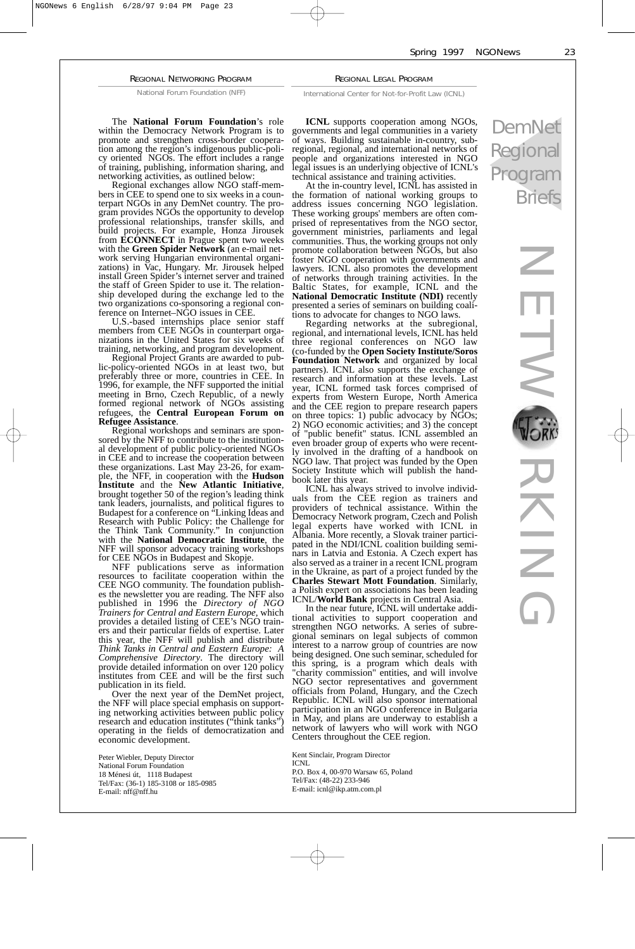#### Spring 1997 NGONews 23

#### REGIONAL NETWORKING PROGRAM

National Forum Foundation (NFF)

The **National Forum Foundation**'s role within the Democracy Network Program is to promote and strengthen cross-border cooperation among the region's indigenous public-policy oriented NGOs. The effort includes a range of training, publishing, information sharing, and networking activities, as outlined below:

Regional exchanges allow NGO staff-members in CEE to spend one to six weeks in a counterpart NGOs in any DemNet country. The program provides NGOs the opportunity to develop professional relationships, transfer skills, and build projects. For example, Honza Jirousek from **ECONNECT** in Prague spent two weeks with the **Green Spider Network** (an e-mail network serving Hungarian environmental organizations) in Vac, Hungary. Mr. Jirousek helped install Green Spider's internet server and trained the staff of Green Spider to use it. The relationship developed during the exchange led to the two organizations co-sponsoring a regional con-ference on Internet–NGO issues in CEE.

U.S.-based internships place senior staff members from CEE NGOs in counterpart organizations in the United States for six weeks of training, networking, and program development.

Regional Project Grants are awarded to public-policy-oriented NGOs in at least two, but preferably three or more, countries in CEE. In 1996, for example, the NFF supported the initial meeting in Brno, Czech Republic, of a newly formed regional network of NGOs assisting refugees, the **Central European Forum on Refugee Assistance**.

Regional workshops and seminars are sponsored by the NFF to contribute to the institutional development of public policy-oriented NGOs in CEE and to increase the cooperation between these organizations. Last May 23-26, for example, the NFF, in cooperation with the **Hudson Institute** and the **New Atlantic Initiative**, brought together 50 of the region's leading think tank leaders, journalists, and political figures to Budapest for a conference on "Linking Ideas and Research with Public Policy: the Challenge for the Think Tank Community." In conjunction with the **National Democratic Institute**, the NFF will sponsor advocacy training workshops for CEE NGOs in Budapest and Skopje.

NFF publications serve as information resources to facilitate cooperation within the CEE NGO community. The foundation publishes the newsletter you are reading. The NFF also published in 1996 the *Directory of NGO Trainers for Central and Eastern Europe*, which provides a detailed listing of CEE's NGO trainers and their particular fields of expertise. Later this year, the NFF will publish and distribute *Think Tanks in Central and Eastern Europe: A Comprehensive Directory*. The directory will provide detailed information on over 120 policy institutes from CEE and will be the first such publication in its field.

Over the next year of the DemNet project, the NFF will place special emphasis on supporting networking activities between public policy research and education institutes ("think tanks") operating in the fields of democratization and economic development.

Peter Wiebler, Deputy Director National Forum Foundation 18 Ménesi út, 1118 Budapest Tel/Fax: (36-1) 185-3108 or 185-0985 E-mail: nff@nff.hu

**ICNL** supports cooperation among NGOs, governments and legal communities in a variety of ways. Building sustainable in-country, subregional, regional, and international networks of people and organizations interested in NGO legal issues is an underlying objective of ICNL's technical assistance and training activities.

REGIONAL LEGAL PROGRAM International Center for Not-for-Profit Law (ICNL)

At the in-country level, ICNL has assisted in the formation of national working groups to address issues concerning NGO legislation. These working groups' members are often comprised of representatives from the NGO sector, government ministries, parliaments and legal communities. Thus, the working groups not only promote collaboration between NGOs, but also foster NGO cooperation with governments and lawyers. ICNL also promotes the development of networks through training activities. In the Baltic States, for example, ICNL and the **National Democratic Institute (NDI)** recently presented a series of seminars on building coalitions to advocate for changes to NGO laws.

Regarding networks at the subregional, regional, and international levels, ICNL has held three regional conferences on NGO law (co-funded by the **Open Society Institute/Soros Foundation Network** and organized by local partners). ICNL also supports the exchange of research and information at these levels. Last year, ICNL formed task forces comprised of experts from Western Europe, North America and the CEE region to prepare research papers on three topics: 1) public advocacy by NGOs; 2) NGO economic activities; and 3) the concept of "public benefit" status. ICNL assembled an even broader group of experts who were recently involved in the drafting of a handbook on NGO law. That project was funded by the Open Society Institute which will publish the handbook later this year.

ICNL has always strived to involve individuals from the CEE region as trainers and providers of technical assistance. Within the Democracy Network program, Czech and Polish legal experts have worked with ICNL in Albania. More recently, a Slovak trainer participated in the NDI/ICNL coalition building seminars in Latvia and Estonia. A Czech expert has also served as a trainer in a recent ICNL program in the Ukraine, as part of a project funded by the **Charles Stewart Mott Foundation**. Similarly, a Polish expert on associations has been leading ICNL/**World Bank** projects in Central Asia.

In the near future, ICNL will undertake additional activities to support cooperation and strengthen NGO networks. A series of subregional seminars on legal subjects of common interest to a narrow group of countries are now being designed. One such seminar, scheduled for spring, is a program which deals with "charity commission" entities, and will involve NGO sector representatives and government officials from Poland, Hungary, and the Czech Republic. ICNL will also sponsor international participation in an NGO conference in Bulgaria in May, and plans are underway to establish a network of lawyers who will work with NGO Centers throughout the CEE region.

Kent Sinclair, Program Director

ICNL P.O. Box 4, 00-970 Warsaw 65, Poland Tel/Fax: (48-22) 233-946 E-mail: icnl@ikp.atm.com.pl

# DemNet Regional Program Briefs